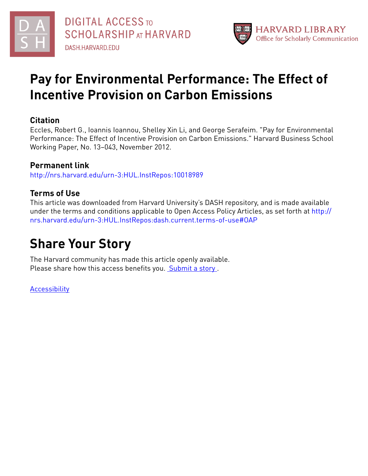



## **Pay for Environmental Performance: The Effect of Incentive Provision on Carbon Emissions**

### **Citation**

Eccles, Robert G., Ioannis Ioannou, Shelley Xin Li, and George Serafeim. "Pay for Environmental Performance: The Effect of Incentive Provision on Carbon Emissions." Harvard Business School Working Paper, No. 13–043, November 2012.

## **Permanent link**

<http://nrs.harvard.edu/urn-3:HUL.InstRepos:10018989>

## **Terms of Use**

This article was downloaded from Harvard University's DASH repository, and is made available under the terms and conditions applicable to Open Access Policy Articles, as set forth at [http://](http://nrs.harvard.edu/urn-3:HUL.InstRepos:dash.current.terms-of-use#OAP) [nrs.harvard.edu/urn-3:HUL.InstRepos:dash.current.terms-of-use#OAP](http://nrs.harvard.edu/urn-3:HUL.InstRepos:dash.current.terms-of-use#OAP)

# **Share Your Story**

The Harvard community has made this article openly available. Please share how this access benefits you. [Submit](http://osc.hul.harvard.edu/dash/open-access-feedback?handle=&title=Pay%20for%20Environmental%20Performance:%20The%20Effect%20of%20Incentive%20Provision%20on%20Carbon%20Emissions&community=1/3345929&collection=1/3345930&owningCollection1/3345930&harvardAuthors=eec39fb1356eb2b56d6fea3399619340&department) a story.

[Accessibility](https://dash.harvard.edu/pages/accessibility)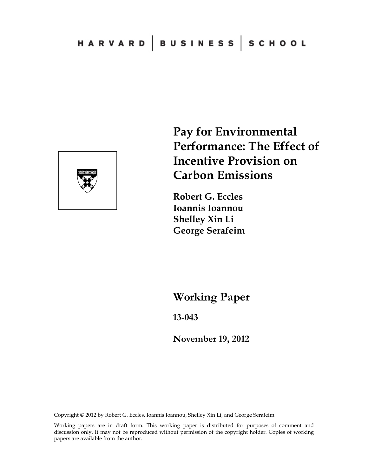

**Pay for Environmental Performance: The Effect of Incentive Provision on Carbon Emissions** 

**Robert G. Eccles Ioannis Ioannou Shelley Xin Li George Serafeim** 

**Working Paper** 

**13-043** 

**November 19, 2012**

Copyright © 2012 by Robert G. Eccles, Ioannis Ioannou, Shelley Xin Li, and George Serafeim

Working papers are in draft form. This working paper is distributed for purposes of comment and discussion only. It may not be reproduced without permission of the copyright holder. Copies of working papers are available from the author.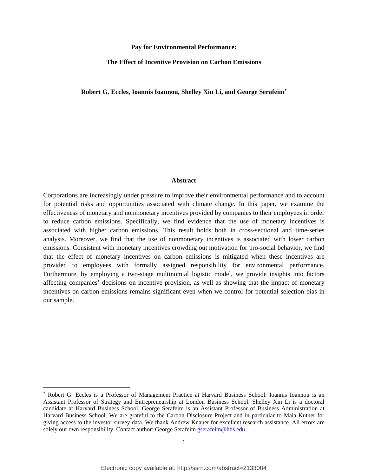#### **Pay for Environmental Performance:**

#### **The Effect of Incentive Provision on Carbon Emissions**

#### **Robert G. Eccles, Ioannis Ioannou, Shelley Xin Li, and George Serafeim**

#### **Abstract**

Corporations are increasingly under pressure to improve their environmental performance and to account for potential risks and opportunities associated with climate change. In this paper, we examine the effectiveness of monetary and nonmonetary incentives provided by companies to their employees in order to reduce carbon emissions. Specifically, we find evidence that the use of monetary incentives is associated with higher carbon emissions. This result holds both in cross-sectional and time-series analysis. Moreover, we find that the use of nonmonetary incentives is associated with lower carbon emissions. Consistent with monetary incentives crowding out motivation for pro-social behavior, we find that the effect of monetary incentives on carbon emissions is mitigated when these incentives are provided to employees with formally assigned responsibility for environmental performance. Furthermore, by employing a two-stage multinomial logistic model, we provide insights into factors affecting companies' decisions on incentive provision, as well as showing that the impact of monetary incentives on carbon emissions remains significant even when we control for potential selection bias in our sample.

 Robert G. Eccles is a Professor of Management Practice at Harvard Business School. Ioannis Ioannou is an Assistant Professor of Strategy and Entrepreneurship at London Business School. Shelley Xin Li is a doctoral candidate at Harvard Business School. George Serafeim is an Assistant Professor of Business Administration at Harvard Business School. We are grateful to the Carbon Disclosure Project and in particular to Maia Kutner for giving access to the investor survey data. We thank Andrew Knauer for excellent research assistance. All errors are solely our own responsibility. Contact author: George Serafeim gserafeim@hbs.edu.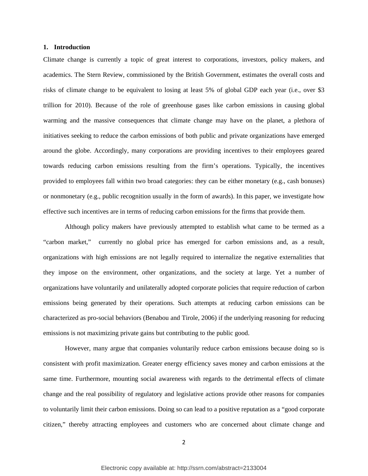#### **1. Introduction**

Climate change is currently a topic of great interest to corporations, investors, policy makers, and academics. The Stern Review, commissioned by the British Government, estimates the overall costs and risks of climate change to be equivalent to losing at least 5% of global GDP each year (i.e., over \$3 trillion for 2010). Because of the role of greenhouse gases like carbon emissions in causing global warming and the massive consequences that climate change may have on the planet, a plethora of initiatives seeking to reduce the carbon emissions of both public and private organizations have emerged around the globe. Accordingly, many corporations are providing incentives to their employees geared towards reducing carbon emissions resulting from the firm's operations. Typically, the incentives provided to employees fall within two broad categories: they can be either monetary (e.g., cash bonuses) or nonmonetary (e.g., public recognition usually in the form of awards). In this paper, we investigate how effective such incentives are in terms of reducing carbon emissions for the firms that provide them.

Although policy makers have previously attempted to establish what came to be termed as a "carbon market," currently no global price has emerged for carbon emissions and, as a result, organizations with high emissions are not legally required to internalize the negative externalities that they impose on the environment, other organizations, and the society at large. Yet a number of organizations have voluntarily and unilaterally adopted corporate policies that require reduction of carbon emissions being generated by their operations. Such attempts at reducing carbon emissions can be characterized as pro-social behaviors (Benabou and Tirole, 2006) if the underlying reasoning for reducing emissions is not maximizing private gains but contributing to the public good.

However, many argue that companies voluntarily reduce carbon emissions because doing so is consistent with profit maximization. Greater energy efficiency saves money and carbon emissions at the same time. Furthermore, mounting social awareness with regards to the detrimental effects of climate change and the real possibility of regulatory and legislative actions provide other reasons for companies to voluntarily limit their carbon emissions. Doing so can lead to a positive reputation as a "good corporate citizen," thereby attracting employees and customers who are concerned about climate change and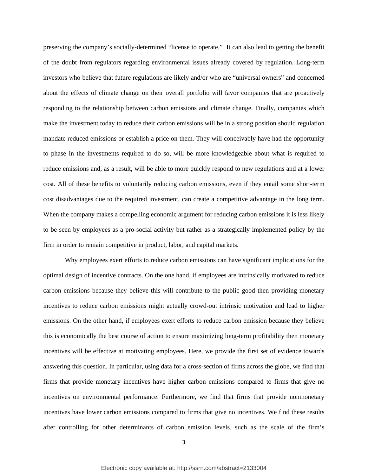preserving the company's socially-determined "license to operate." It can also lead to getting the benefit of the doubt from regulators regarding environmental issues already covered by regulation. Long-term investors who believe that future regulations are likely and/or who are "universal owners" and concerned about the effects of climate change on their overall portfolio will favor companies that are proactively responding to the relationship between carbon emissions and climate change. Finally, companies which make the investment today to reduce their carbon emissions will be in a strong position should regulation mandate reduced emissions or establish a price on them. They will conceivably have had the opportunity to phase in the investments required to do so, will be more knowledgeable about what is required to reduce emissions and, as a result, will be able to more quickly respond to new regulations and at a lower cost. All of these benefits to voluntarily reducing carbon emissions, even if they entail some short-term cost disadvantages due to the required investment, can create a competitive advantage in the long term. When the company makes a compelling economic argument for reducing carbon emissions it is less likely to be seen by employees as a pro-social activity but rather as a strategically implemented policy by the firm in order to remain competitive in product, labor, and capital markets.

Why employees exert efforts to reduce carbon emissions can have significant implications for the optimal design of incentive contracts. On the one hand, if employees are intrinsically motivated to reduce carbon emissions because they believe this will contribute to the public good then providing monetary incentives to reduce carbon emissions might actually crowd-out intrinsic motivation and lead to higher emissions. On the other hand, if employees exert efforts to reduce carbon emission because they believe this is economically the best course of action to ensure maximizing long-term profitability then monetary incentives will be effective at motivating employees. Here, we provide the first set of evidence towards answering this question. In particular, using data for a cross-section of firms across the globe, we find that firms that provide monetary incentives have higher carbon emissions compared to firms that give no incentives on environmental performance. Furthermore, we find that firms that provide nonmonetary incentives have lower carbon emissions compared to firms that give no incentives. We find these results after controlling for other determinants of carbon emission levels, such as the scale of the firm's

3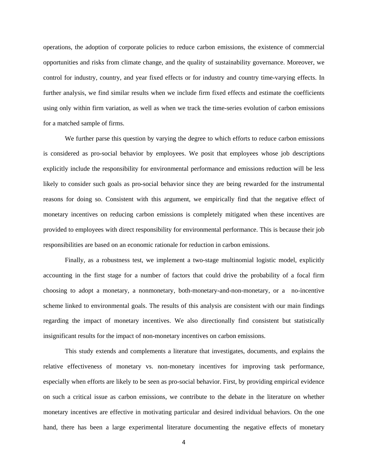operations, the adoption of corporate policies to reduce carbon emissions, the existence of commercial opportunities and risks from climate change, and the quality of sustainability governance. Moreover, we control for industry, country, and year fixed effects or for industry and country time-varying effects. In further analysis, we find similar results when we include firm fixed effects and estimate the coefficients using only within firm variation, as well as when we track the time-series evolution of carbon emissions for a matched sample of firms.

We further parse this question by varying the degree to which efforts to reduce carbon emissions is considered as pro-social behavior by employees. We posit that employees whose job descriptions explicitly include the responsibility for environmental performance and emissions reduction will be less likely to consider such goals as pro-social behavior since they are being rewarded for the instrumental reasons for doing so. Consistent with this argument, we empirically find that the negative effect of monetary incentives on reducing carbon emissions is completely mitigated when these incentives are provided to employees with direct responsibility for environmental performance. This is because their job responsibilities are based on an economic rationale for reduction in carbon emissions.

Finally, as a robustness test, we implement a two-stage multinomial logistic model, explicitly accounting in the first stage for a number of factors that could drive the probability of a focal firm choosing to adopt a monetary, a nonmonetary, both-monetary-and-non-monetary, or a no-incentive scheme linked to environmental goals. The results of this analysis are consistent with our main findings regarding the impact of monetary incentives. We also directionally find consistent but statistically insignificant results for the impact of non-monetary incentives on carbon emissions.

This study extends and complements a literature that investigates, documents, and explains the relative effectiveness of monetary vs. non-monetary incentives for improving task performance, especially when efforts are likely to be seen as pro-social behavior. First, by providing empirical evidence on such a critical issue as carbon emissions, we contribute to the debate in the literature on whether monetary incentives are effective in motivating particular and desired individual behaviors. On the one hand, there has been a large experimental literature documenting the negative effects of monetary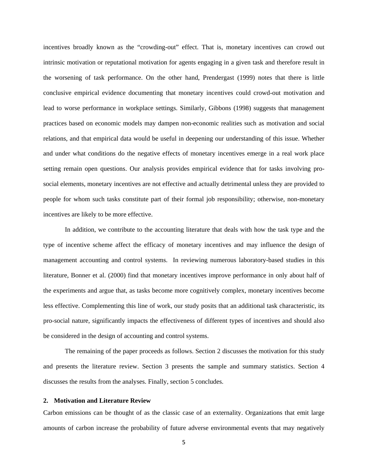incentives broadly known as the "crowding-out" effect. That is, monetary incentives can crowd out intrinsic motivation or reputational motivation for agents engaging in a given task and therefore result in the worsening of task performance. On the other hand, Prendergast (1999) notes that there is little conclusive empirical evidence documenting that monetary incentives could crowd-out motivation and lead to worse performance in workplace settings. Similarly, Gibbons (1998) suggests that management practices based on economic models may dampen non-economic realities such as motivation and social relations, and that empirical data would be useful in deepening our understanding of this issue. Whether and under what conditions do the negative effects of monetary incentives emerge in a real work place setting remain open questions. Our analysis provides empirical evidence that for tasks involving prosocial elements, monetary incentives are not effective and actually detrimental unless they are provided to people for whom such tasks constitute part of their formal job responsibility; otherwise, non-monetary incentives are likely to be more effective.

In addition, we contribute to the accounting literature that deals with how the task type and the type of incentive scheme affect the efficacy of monetary incentives and may influence the design of management accounting and control systems. In reviewing numerous laboratory-based studies in this literature, Bonner et al. (2000) find that monetary incentives improve performance in only about half of the experiments and argue that, as tasks become more cognitively complex, monetary incentives become less effective. Complementing this line of work, our study posits that an additional task characteristic, its pro-social nature, significantly impacts the effectiveness of different types of incentives and should also be considered in the design of accounting and control systems.

The remaining of the paper proceeds as follows. Section 2 discusses the motivation for this study and presents the literature review. Section 3 presents the sample and summary statistics. Section 4 discusses the results from the analyses. Finally, section 5 concludes.

#### **2. Motivation and Literature Review**

Carbon emissions can be thought of as the classic case of an externality. Organizations that emit large amounts of carbon increase the probability of future adverse environmental events that may negatively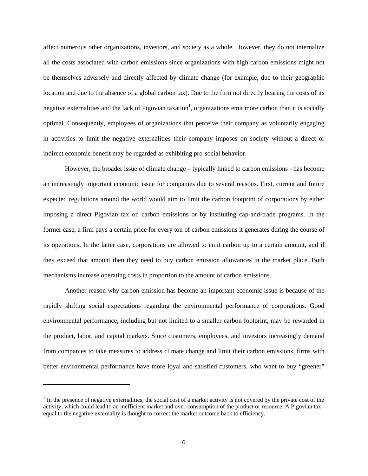affect numerous other organizations, investors, and society as a whole. However, they do not internalize all the costs associated with carbon emissions since organizations with high carbon emissions might not be themselves adversely and directly affected by climate change (for example, due to their geographic location and due to the absence of a global carbon tax). Due to the firm not directly bearing the costs of its negative externalities and the lack of Pigovian taxation<sup>1</sup>, organizations emit more carbon than it is socially optimal. Consequently, employees of organizations that perceive their company as voluntarily engaging in activities to limit the negative externalities their company imposes on society without a direct or indirect economic benefit may be regarded as exhibiting pro-social behavior.

However, the broader issue of climate change – typically linked to carbon emissions - has become an increasingly important economic issue for companies due to several reasons. First, current and future expected regulations around the world would aim to limit the carbon footprint of corporations by either imposing a direct Pigovian tax on carbon emissions or by instituting cap-and-trade programs. In the former case, a firm pays a certain price for every ton of carbon emissions it generates during the course of its operations. In the latter case, corporations are allowed to emit carbon up to a certain amount, and if they exceed that amount then they need to buy carbon emission allowances in the market place. Both mechanisms increase operating costs in proportion to the amount of carbon emissions.

Another reason why carbon emission has become an important economic issue is because of the rapidly shifting social expectations regarding the environmental performance of corporations. Good environmental performance, including but not limited to a smaller carbon footprint, may be rewarded in the product, labor, and capital markets. Since customers, employees, and investors increasingly demand from companies to take measures to address climate change and limit their carbon emissions, firms with better environmental performance have more loyal and satisfied customers, who want to buy "greener"

 $1$  In the presence of negative externalities, the social cost of a market activity is not covered by the private cost of the activity, which could lead to an inefficient market and over-consumption of the product or resource. A Pigovian tax equal to the negative externality is thought to correct the market outcome back to efficiency.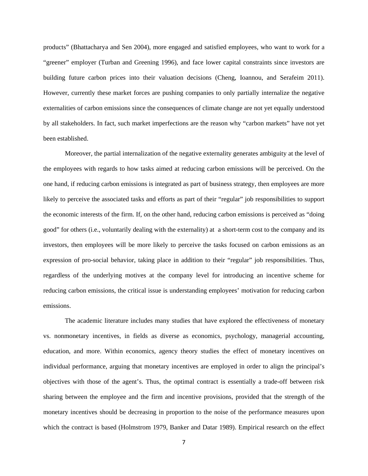products" (Bhattacharya and Sen 2004), more engaged and satisfied employees, who want to work for a "greener" employer (Turban and Greening 1996), and face lower capital constraints since investors are building future carbon prices into their valuation decisions (Cheng, Ioannou, and Serafeim 2011). However, currently these market forces are pushing companies to only partially internalize the negative externalities of carbon emissions since the consequences of climate change are not yet equally understood by all stakeholders. In fact, such market imperfections are the reason why "carbon markets" have not yet been established.

Moreover, the partial internalization of the negative externality generates ambiguity at the level of the employees with regards to how tasks aimed at reducing carbon emissions will be perceived. On the one hand, if reducing carbon emissions is integrated as part of business strategy, then employees are more likely to perceive the associated tasks and efforts as part of their "regular" job responsibilities to support the economic interests of the firm. If, on the other hand, reducing carbon emissions is perceived as "doing good" for others (i.e., voluntarily dealing with the externality) at a short-term cost to the company and its investors, then employees will be more likely to perceive the tasks focused on carbon emissions as an expression of pro-social behavior, taking place in addition to their "regular" job responsibilities. Thus, regardless of the underlying motives at the company level for introducing an incentive scheme for reducing carbon emissions, the critical issue is understanding employees' motivation for reducing carbon emissions.

The academic literature includes many studies that have explored the effectiveness of monetary vs. nonmonetary incentives, in fields as diverse as economics, psychology, managerial accounting, education, and more. Within economics, agency theory studies the effect of monetary incentives on individual performance, arguing that monetary incentives are employed in order to align the principal's objectives with those of the agent's. Thus, the optimal contract is essentially a trade-off between risk sharing between the employee and the firm and incentive provisions, provided that the strength of the monetary incentives should be decreasing in proportion to the noise of the performance measures upon which the contract is based (Holmstrom 1979, Banker and Datar 1989). Empirical research on the effect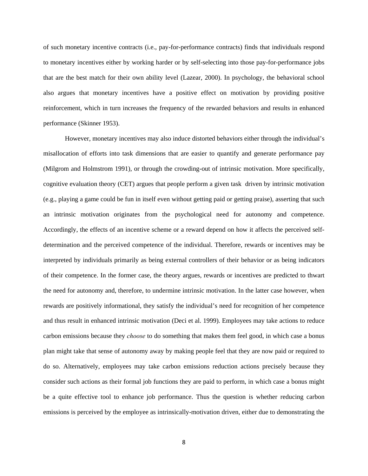of such monetary incentive contracts (i.e., pay-for-performance contracts) finds that individuals respond to monetary incentives either by working harder or by self-selecting into those pay-for-performance jobs that are the best match for their own ability level (Lazear, 2000). In psychology, the behavioral school also argues that monetary incentives have a positive effect on motivation by providing positive reinforcement, which in turn increases the frequency of the rewarded behaviors and results in enhanced performance (Skinner 1953).

However, monetary incentives may also induce distorted behaviors either through the individual's misallocation of efforts into task dimensions that are easier to quantify and generate performance pay (Milgrom and Holmstrom 1991), or through the crowding-out of intrinsic motivation. More specifically, cognitive evaluation theory (CET) argues that people perform a given task driven by intrinsic motivation (e.g., playing a game could be fun in itself even without getting paid or getting praise), asserting that such an intrinsic motivation originates from the psychological need for autonomy and competence. Accordingly, the effects of an incentive scheme or a reward depend on how it affects the perceived selfdetermination and the perceived competence of the individual. Therefore, rewards or incentives may be interpreted by individuals primarily as being external controllers of their behavior or as being indicators of their competence. In the former case, the theory argues, rewards or incentives are predicted to thwart the need for autonomy and, therefore, to undermine intrinsic motivation. In the latter case however, when rewards are positively informational, they satisfy the individual's need for recognition of her competence and thus result in enhanced intrinsic motivation (Deci et al. 1999). Employees may take actions to reduce carbon emissions because they *choose* to do something that makes them feel good, in which case a bonus plan might take that sense of autonomy away by making people feel that they are now paid or required to do so. Alternatively, employees may take carbon emissions reduction actions precisely because they consider such actions as their formal job functions they are paid to perform, in which case a bonus might be a quite effective tool to enhance job performance. Thus the question is whether reducing carbon emissions is perceived by the employee as intrinsically-motivation driven, either due to demonstrating the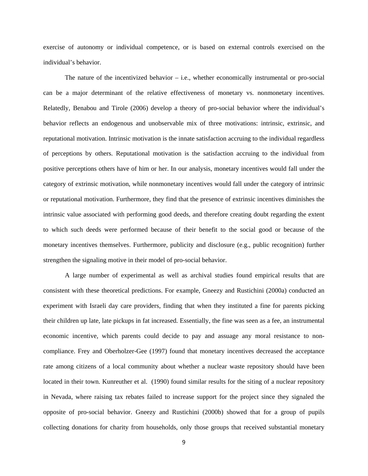exercise of autonomy or individual competence, or is based on external controls exercised on the individual's behavior.

The nature of the incentivized behavior  $-$  i.e., whether economically instrumental or pro-social can be a major determinant of the relative effectiveness of monetary vs. nonmonetary incentives. Relatedly, Benabou and Tirole (2006) develop a theory of pro-social behavior where the individual's behavior reflects an endogenous and unobservable mix of three motivations: intrinsic, extrinsic, and reputational motivation. Intrinsic motivation is the innate satisfaction accruing to the individual regardless of perceptions by others. Reputational motivation is the satisfaction accruing to the individual from positive perceptions others have of him or her. In our analysis, monetary incentives would fall under the category of extrinsic motivation, while nonmonetary incentives would fall under the category of intrinsic or reputational motivation. Furthermore, they find that the presence of extrinsic incentives diminishes the intrinsic value associated with performing good deeds, and therefore creating doubt regarding the extent to which such deeds were performed because of their benefit to the social good or because of the monetary incentives themselves. Furthermore, publicity and disclosure (e.g., public recognition) further strengthen the signaling motive in their model of pro-social behavior.

A large number of experimental as well as archival studies found empirical results that are consistent with these theoretical predictions. For example, Gneezy and Rustichini (2000a) conducted an experiment with Israeli day care providers, finding that when they instituted a fine for parents picking their children up late, late pickups in fat increased. Essentially, the fine was seen as a fee, an instrumental economic incentive, which parents could decide to pay and assuage any moral resistance to noncompliance. Frey and Oberholzer-Gee (1997) found that monetary incentives decreased the acceptance rate among citizens of a local community about whether a nuclear waste repository should have been located in their town. Kunreuther et al. (1990) found similar results for the siting of a nuclear repository in Nevada, where raising tax rebates failed to increase support for the project since they signaled the opposite of pro-social behavior. Gneezy and Rustichini (2000b) showed that for a group of pupils collecting donations for charity from households, only those groups that received substantial monetary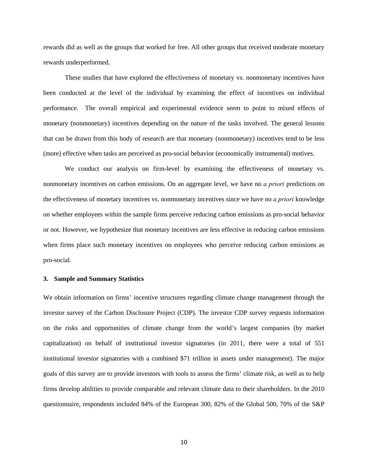rewards did as well as the groups that worked for free. All other groups that received moderate monetary rewards underperformed.

These studies that have explored the effectiveness of monetary vs. nonmonetary incentives have been conducted at the level of the individual by examining the effect of incentives on individual performance. The overall empirical and experimental evidence seem to point to mixed effects of monetary (nonmonetary) incentives depending on the nature of the tasks involved. The general lessons that can be drawn from this body of research are that monetary (nonmonetary) incentives tend to be less (more) effective when tasks are perceived as pro-social behavior (economically instrumental) motives.

We conduct our analysis on firm-level by examining the effectiveness of monetary vs. nonmonetary incentives on carbon emissions. On an aggregate level, we have no *a priori* predictions on the effectiveness of monetary incentives vs. nonmonetary incentives since we have no *a priori* knowledge on whether employees within the sample firms perceive reducing carbon emissions as pro-social behavior or not. However, we hypothesize that monetary incentives are less effective in reducing carbon emissions when firms place such monetary incentives on employees who perceive reducing carbon emissions as pro-social.

#### **3. Sample and Summary Statistics**

We obtain information on firms' incentive structures regarding climate change management through the investor survey of the Carbon Disclosure Project (CDP). The investor CDP survey requests information on the risks and opportunities of climate change from the world's largest companies (by market capitalization) on behalf of institutional investor signatories (in 2011, there were a total of 551 institutional investor signatories with a combined \$71 trillion in assets under management). The major goals of this survey are to provide investors with tools to assess the firms' climate risk, as well as to help firms develop abilities to provide comparable and relevant climate data to their shareholders. In the 2010 questionnaire, respondents included 84% of the European 300, 82% of the Global 500, 70% of the S&P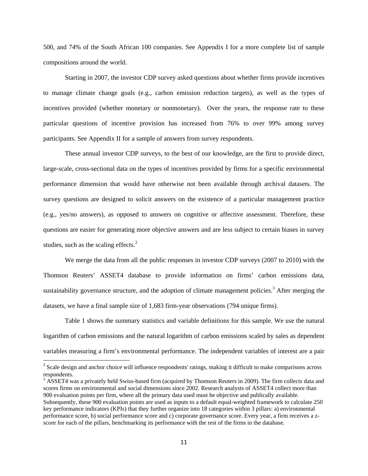500, and 74% of the South African 100 companies. See Appendix I for a more complete list of sample compositions around the world.

Starting in 2007, the investor CDP survey asked questions about whether firms provide incentives to manage climate change goals (e.g., carbon emission reduction targets), as well as the types of incentives provided (whether monetary or nonmonetary). Over the years, the response rate to these particular questions of incentive provision has increased from 76% to over 99% among survey participants. See Appendix II for a sample of answers from survey respondents.

These annual investor CDP surveys, to the best of our knowledge, are the first to provide direct, large-scale, cross-sectional data on the types of incentives provided by firms for a specific environmental performance dimension that would have otherwise not been available through archival datasets. The survey questions are designed to solicit answers on the existence of a particular management practice (e.g., yes/no answers), as opposed to answers on cognitive or affective assessment. Therefore, these questions are easier for generating more objective answers and are less subject to certain biases in survey studies, such as the scaling effects. $<sup>2</sup>$ </sup>

We merge the data from all the public responses in investor CDP surveys (2007 to 2010) with the Thomson Reuters' ASSET4 database to provide information on firms' carbon emissions data, sustainability governance structure, and the adoption of climate management policies.<sup>3</sup> After merging the datasets, we have a final sample size of 1,683 firm-year observations (794 unique firms).

Table 1 shows the summary statistics and variable definitions for this sample. We use the natural logarithm of carbon emissions and the natural logarithm of carbon emissions scaled by sales as dependent variables measuring a firm's environmental performance. The independent variables of interest are a pair

<sup>&</sup>lt;sup>2</sup> Scale design and anchor choice will influence respondents' ratings, making it difficult to make comparisons across respondents.

 $3$  ASSET4 was a privately held Swiss-based firm (acquired by Thomson Reuters in 2009). The firm collects data and scores firms on environmental and social dimensions since 2002. Research analysts of ASSET4 collect more than 900 evaluation points per firm, where all the primary data used must be objective and publically available. Subsequently, these 900 evaluation points are used as inputs to a default equal-weighted framework to calculate 250 key performance indicators (KPIs) that they further organize into 18 categories within 3 pillars: a) environmental performance score, b) social performance score and c) corporate governance score. Every year, a firm receives a zscore for each of the pillars, benchmarking its performance with the rest of the firms in the database.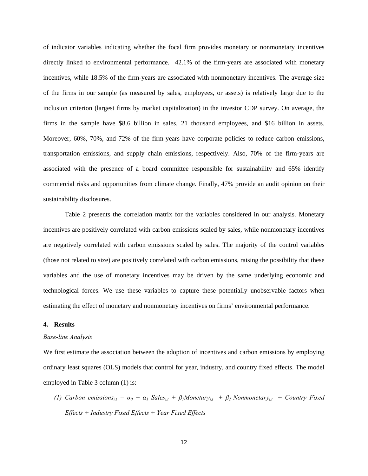of indicator variables indicating whether the focal firm provides monetary or nonmonetary incentives directly linked to environmental performance. 42.1% of the firm-years are associated with monetary incentives, while 18.5% of the firm-years are associated with nonmonetary incentives. The average size of the firms in our sample (as measured by sales, employees, or assets) is relatively large due to the inclusion criterion (largest firms by market capitalization) in the investor CDP survey. On average, the firms in the sample have \$8.6 billion in sales, 21 thousand employees, and \$16 billion in assets. Moreover, 60%, 70%, and 72% of the firm-years have corporate policies to reduce carbon emissions, transportation emissions, and supply chain emissions, respectively. Also, 70% of the firm-years are associated with the presence of a board committee responsible for sustainability and 65% identify commercial risks and opportunities from climate change. Finally, 47% provide an audit opinion on their sustainability disclosures.

Table 2 presents the correlation matrix for the variables considered in our analysis. Monetary incentives are positively correlated with carbon emissions scaled by sales, while nonmonetary incentives are negatively correlated with carbon emissions scaled by sales. The majority of the control variables (those not related to size) are positively correlated with carbon emissions, raising the possibility that these variables and the use of monetary incentives may be driven by the same underlying economic and technological forces. We use these variables to capture these potentially unobservable factors when estimating the effect of monetary and nonmonetary incentives on firms' environmental performance.

#### **4. Results**

#### *Base-line Analysis*

We first estimate the association between the adoption of incentives and carbon emissions by employing ordinary least squares (OLS) models that control for year, industry, and country fixed effects. The model employed in Table 3 column (1) is:

*(1) Carbon emissions*<sub>*i,t*</sub> =  $\alpha_0$  +  $\alpha_1$  *Sales*<sub>*i,t*</sub> +  $\beta_1$ *Monetary*<sub>*i,t*</sub> +  $\beta_2$ *Nonmonetary*<sub>*i,t*</sub> + *Country Fixed Effects + Industry Fixed Effects + Year Fixed Effects*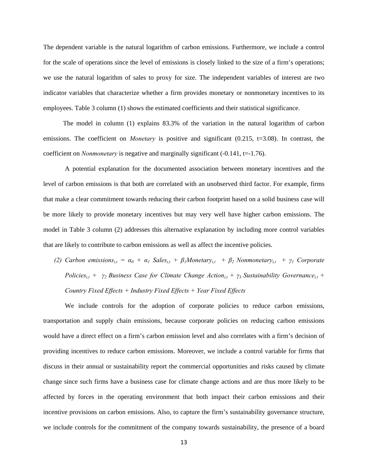The dependent variable is the natural logarithm of carbon emissions. Furthermore, we include a control for the scale of operations since the level of emissions is closely linked to the size of a firm's operations; we use the natural logarithm of sales to proxy for size. The independent variables of interest are two indicator variables that characterize whether a firm provides monetary or nonmonetary incentives to its employees. Table 3 column (1) shows the estimated coefficients and their statistical significance.

 The model in column (1) explains 83.3% of the variation in the natural logarithm of carbon emissions. The coefficient on *Monetary* is positive and significant (0.215, t=3.08). In contrast, the coefficient on *Nonmonetary* is negative and marginally significant (-0.141, t=-1.76).

A potential explanation for the documented association between monetary incentives and the level of carbon emissions is that both are correlated with an unobserved third factor. For example, firms that make a clear commitment towards reducing their carbon footprint based on a solid business case will be more likely to provide monetary incentives but may very well have higher carbon emissions. The model in Table 3 column (2) addresses this alternative explanation by including more control variables that are likely to contribute to carbon emissions as well as affect the incentive policies.

*(2) Carbon emissions*<sub>*i,t*</sub> =  $\alpha_0 + \alpha_1$  *Sales*<sub>*i,t*</sub> +  $\beta_1$ *Monetary*<sub>*i,t*</sub> +  $\beta_2$  *Nonmonetary*<sub>*i,t*</sub> +  $\gamma_1$  *Corporate Policies*<sub>i,t</sub> + *γ*<sub>2</sub> Business Case for Climate Change Action<sub>i,t</sub> + *γ*<sub>3</sub> Sustainability Governance<sub>i,t</sub> + *Country Fixed Effects + Industry Fixed Effects + Year Fixed Effects* 

We include controls for the adoption of corporate policies to reduce carbon emissions, transportation and supply chain emissions, because corporate policies on reducing carbon emissions would have a direct effect on a firm's carbon emission level and also correlates with a firm's decision of providing incentives to reduce carbon emissions. Moreover, we include a control variable for firms that discuss in their annual or sustainability report the commercial opportunities and risks caused by climate change since such firms have a business case for climate change actions and are thus more likely to be affected by forces in the operating environment that both impact their carbon emissions and their incentive provisions on carbon emissions. Also, to capture the firm's sustainability governance structure, we include controls for the commitment of the company towards sustainability, the presence of a board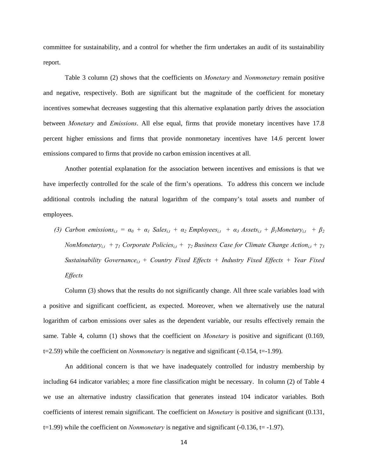committee for sustainability, and a control for whether the firm undertakes an audit of its sustainability report.

Table 3 column (2) shows that the coefficients on *Monetary* and *Nonmonetary* remain positive and negative, respectively. Both are significant but the magnitude of the coefficient for monetary incentives somewhat decreases suggesting that this alternative explanation partly drives the association between *Monetary* and *Emissions*. All else equal, firms that provide monetary incentives have 17.8 percent higher emissions and firms that provide nonmonetary incentives have 14.6 percent lower emissions compared to firms that provide no carbon emission incentives at all.

Another potential explanation for the association between incentives and emissions is that we have imperfectly controlled for the scale of the firm's operations. To address this concern we include additional controls including the natural logarithm of the company's total assets and number of employees.

*(3) Carbon emissions*<sub>it</sub> =  $\alpha_0 + \alpha_1$  *Sales*<sub>it</sub> +  $\alpha_2$  *Employees*<sub>it</sub> +  $\alpha_3$  *Assets*<sub>it</sub> +  $\beta_1$ *Monetary*<sub>it</sub> +  $\beta_2$ *NonMonetary*<sub>*i,t*</sub> +  $\gamma$ <sup>*1*</sup> Corporate Policies<sub>*i,t*</sub> +  $\gamma$ <sub>2</sub> Business Case for Climate Change Action<sub>*i,t*</sub> +  $\gamma$ <sub>3</sub> *Sustainability Governance<sub>i,t</sub>* + *Country Fixed Effects* + *Industry Fixed Effects* + *Year Fixed Effects* 

Column (3) shows that the results do not significantly change. All three scale variables load with a positive and significant coefficient, as expected. Moreover, when we alternatively use the natural logarithm of carbon emissions over sales as the dependent variable, our results effectively remain the same. Table 4, column (1) shows that the coefficient on *Monetary* is positive and significant (0.169, t=2.59) while the coefficient on *Nonmonetary* is negative and significant (-0.154, t=-1.99).

An additional concern is that we have inadequately controlled for industry membership by including 64 indicator variables; a more fine classification might be necessary. In column (2) of Table 4 we use an alternative industry classification that generates instead 104 indicator variables. Both coefficients of interest remain significant. The coefficient on *Monetary* is positive and significant (0.131, t=1.99) while the coefficient on *Nonmonetary* is negative and significant (-0.136, t= -1.97).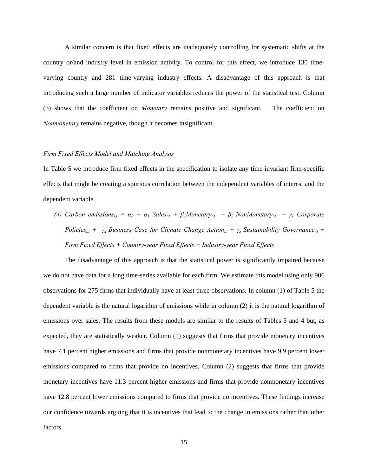A similar concern is that fixed effects are inadequately controlling for systematic shifts at the country or/and industry level in emission activity. To control for this effect, we introduce 130 timevarying country and 281 time-varying industry effects. A disadvantage of this approach is that introducing such a large number of indicator variables reduces the power of the statistical test. Column (3) shows that the coefficient on *Monetary* remains positive and significant. The coefficient on *Nonmonetary* remains negative*,* though it becomes insignificant.

#### *Firm Fixed Effects Model and Matching Analysis*

In Table 5 we introduce firm fixed effects in the specification to isolate any time-invariant firm-specific effects that might be creating a spurious correlation between the independent variables of interest and the dependent variable.

*(4) Carbon emissions*<sub>*i,t*</sub> =  $\alpha_0 + \alpha_1$  *Sales*<sub>*i,t*</sub> +  $\beta_1$ *Monetary*<sub>*i,t*</sub> +  $\beta_2$  *NonMonetary*<sub>*i,t*</sub> +  $\gamma_1$  *Corporate Policies*<sub>i,t</sub> + *γ*<sub>2</sub> Business Case for Climate Change Action<sub>i,t</sub> + *γ*<sub>3</sub> Sustainability Governance<sub>i,t</sub> + *Firm Fixed Effects + Country-year Fixed Effects + Industry-year Fixed Effects* 

The disadvantage of this approach is that the statistical power is significantly impaired because we do not have data for a long time-series available for each firm. We estimate this model using only 906 observations for 275 firms that individually have at least three observations. In column (1) of Table 5 the dependent variable is the natural logarithm of emissions while in column (2) it is the natural logarithm of emissions over sales. The results from these models are similar to the results of Tables 3 and 4 but, as expected, they are statistically weaker. Column (1) suggests that firms that provide monetary incentives have 7.1 percent higher emissions and firms that provide nonmonetary incentives have 9.9 percent lower emissions compared to firms that provide no incentives. Column (2) suggests that firms that provide monetary incentives have 11.3 percent higher emissions and firms that provide nonmonetary incentives have 12.8 percent lower emissions compared to firms that provide no incentives. These findings increase our confidence towards arguing that it is incentives that lead to the change in emissions rather than other factors.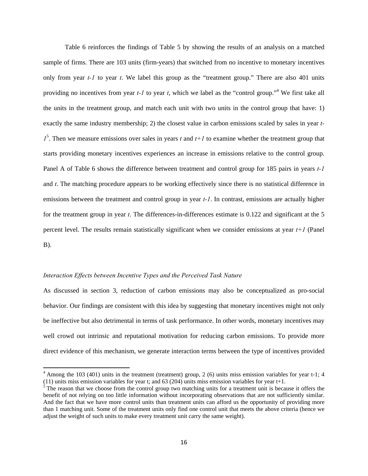Table 6 reinforces the findings of Table 5 by showing the results of an analysis on a matched sample of firms. There are 103 units (firm-years) that switched from no incentive to monetary incentives only from year *t-1* to year *t*. We label this group as the "treatment group." There are also 401 units providing no incentives from year *t-1* to year *t*, which we label as the "control group."4 We first take all the units in the treatment group, and match each unit with two units in the control group that have: 1) exactly the same industry membership; 2) the closest value in carbon emissions scaled by sales in year *t-* $1^5$ . Then we measure emissions over sales in years *t* and  $t+1$  to examine whether the treatment group that starts providing monetary incentives experiences an increase in emissions relative to the control group. Panel A of Table 6 shows the difference between treatment and control group for 185 pairs in years *t-1* and *t*. The matching procedure appears to be working effectively since there is no statistical difference in emissions between the treatment and control group in year *t-1*. In contrast, emissions are actually higher for the treatment group in year *t*. The differences-in-differences estimate is 0.122 and significant at the 5 percent level. The results remain statistically significant when we consider emissions at year *t+1* (Panel B).

#### *Interaction Effects between Incentive Types and the Perceived Task Nature*

As discussed in section 3, reduction of carbon emissions may also be conceptualized as pro-social behavior. Our findings are consistent with this idea by suggesting that monetary incentives might not only be ineffective but also detrimental in terms of task performance. In other words, monetary incentives may well crowd out intrinsic and reputational motivation for reducing carbon emissions. To provide more direct evidence of this mechanism, we generate interaction terms between the type of incentives provided

 $4$  Among the 103 (401) units in the treatment (treatment) group, 2 (6) units miss emission variables for year t-1; 4 (11) units miss emission variables for year t; and 63 (204) units miss emission variables for year t+1.

 $\frac{5}{5}$  The reason that we choose from the control group two matching units for a treatment unit is because it offers the benefit of not relying on too little information without incorporating observations that are not sufficiently similar. And the fact that we have more control units than treatment units can afford us the opportunity of providing more than 1 matching unit. Some of the treatment units only find one control unit that meets the above criteria (hence we adjust the weight of such units to make every treatment unit carry the same weight).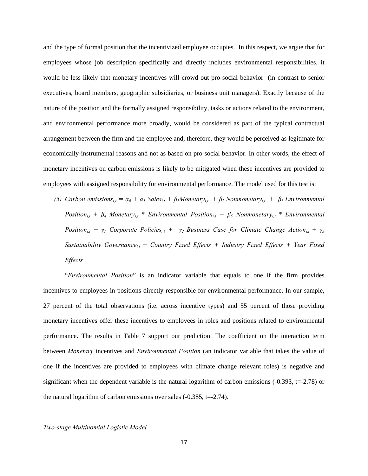and the type of formal position that the incentivized employee occupies. In this respect, we argue that for employees whose job description specifically and directly includes environmental responsibilities, it would be less likely that monetary incentives will crowd out pro-social behavior (in contrast to senior executives, board members, geographic subsidiaries, or business unit managers). Exactly because of the nature of the position and the formally assigned responsibility, tasks or actions related to the environment, and environmental performance more broadly, would be considered as part of the typical contractual arrangement between the firm and the employee and, therefore, they would be perceived as legitimate for economically-instrumental reasons and not as based on pro-social behavior. In other words, the effect of monetary incentives on carbon emissions is likely to be mitigated when these incentives are provided to employees with assigned responsibility for environmental performance. The model used for this test is:

*(5) Carbon emissions*<sub>*i,t*</sub> =  $\alpha_0 + \alpha_1$  *Sales*<sub>*i,t*</sub> +  $\beta_1$ *Monetary*<sub>*i,t*</sub> +  $\beta_2$ *Nonmonetary*<sub>*i,t*</sub> +  $\beta_3$ *Environmental Position<sub>i,t</sub>* +  $\beta$ <sup>*4</sup> Monetary<sub>i,t</sub>* \* *Environmental Position<sub>i,t</sub>* +  $\beta$ <sup>*5*</sup> *Nonmonetary<sub>i,t</sub>* \* *Environmental*</sup> *Position<sub>i,t</sub>* +  $\gamma$ <sup>*1</sup> Corporate Policies<sub>i,t</sub>* +  $\gamma$ <sup>2</sup> *Business Case for Climate Change Action*<sub>*i,t*</sub> +  $\gamma$ <sup>3</sup></sup> *Sustainability Governance*<sub>it</sub> + Country Fixed Effects + Industry Fixed Effects + Year Fixed *Effects* 

"*Environmental Position*" is an indicator variable that equals to one if the firm provides incentives to employees in positions directly responsible for environmental performance. In our sample, 27 percent of the total observations (i.e. across incentive types) and 55 percent of those providing monetary incentives offer these incentives to employees in roles and positions related to environmental performance. The results in Table 7 support our prediction. The coefficient on the interaction term between *Monetary* incentives and *Environmental Position* (an indicator variable that takes the value of one if the incentives are provided to employees with climate change relevant roles) is negative and significant when the dependent variable is the natural logarithm of carbon emissions  $(-0.393, t=-2.78)$  or the natural logarithm of carbon emissions over sales  $(-0.385, t=-2.74)$ .

#### *Two-stage Multinomial Logistic Model*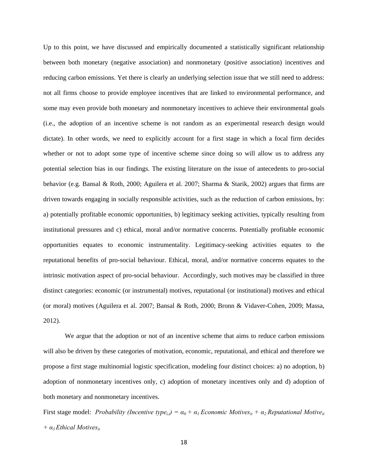Up to this point, we have discussed and empirically documented a statistically significant relationship between both monetary (negative association) and nonmonetary (positive association) incentives and reducing carbon emissions. Yet there is clearly an underlying selection issue that we still need to address: not all firms choose to provide employee incentives that are linked to environmental performance, and some may even provide both monetary and nonmonetary incentives to achieve their environmental goals (i.e., the adoption of an incentive scheme is not random as an experimental research design would dictate). In other words, we need to explicitly account for a first stage in which a focal firm decides whether or not to adopt some type of incentive scheme since doing so will allow us to address any potential selection bias in our findings. The existing literature on the issue of antecedents to pro-social behavior (e.g. Bansal & Roth, 2000; Aguilera et al. 2007; Sharma & Starik, 2002) argues that firms are driven towards engaging in socially responsible activities, such as the reduction of carbon emissions, by: a) potentially profitable economic opportunities, b) legitimacy seeking activities, typically resulting from institutional pressures and c) ethical, moral and/or normative concerns. Potentially profitable economic opportunities equates to economic instrumentality. Legitimacy-seeking activities equates to the reputational benefits of pro-social behaviour. Ethical, moral, and/or normative concerns equates to the intrinsic motivation aspect of pro-social behaviour. Accordingly, such motives may be classified in three distinct categories: economic (or instrumental) motives, reputational (or institutional) motives and ethical (or moral) motives (Aguilera et al. 2007; Bansal & Roth, 2000; Bronn & Vidaver-Cohen, 2009; Massa, 2012).

We argue that the adoption or not of an incentive scheme that aims to reduce carbon emissions will also be driven by these categories of motivation, economic, reputational, and ethical and therefore we propose a first stage multinomial logistic specification, modeling four distinct choices: a) no adoption, b) adoption of nonmonetary incentives only, c) adoption of monetary incentives only and d) adoption of both monetary and nonmonetary incentives.

First stage model: *Probability (Incentive type<sub>i,t</sub>)* =  $\alpha_0 + \alpha_1$  *Economic Motives<sub>it</sub> +*  $\alpha_2$  *Reputational Motive<sub>it</sub> + α3 Ethical Motivesit*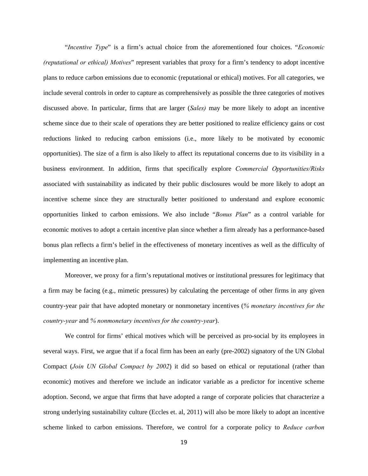"*Incentive Type*" is a firm's actual choice from the aforementioned four choices. "*Economic (reputational or ethical) Motives*" represent variables that proxy for a firm's tendency to adopt incentive plans to reduce carbon emissions due to economic (reputational or ethical) motives. For all categories, we include several controls in order to capture as comprehensively as possible the three categories of motives discussed above. In particular, firms that are larger (*Sales)* may be more likely to adopt an incentive scheme since due to their scale of operations they are better positioned to realize efficiency gains or cost reductions linked to reducing carbon emissions (i.e., more likely to be motivated by economic opportunities). The size of a firm is also likely to affect its reputational concerns due to its visibility in a business environment. In addition, firms that specifically explore *Commercial Opportunities/Risks* associated with sustainability as indicated by their public disclosures would be more likely to adopt an incentive scheme since they are structurally better positioned to understand and explore economic opportunities linked to carbon emissions. We also include "*Bonus Plan*" as a control variable for economic motives to adopt a certain incentive plan since whether a firm already has a performance-based bonus plan reflects a firm's belief in the effectiveness of monetary incentives as well as the difficulty of implementing an incentive plan.

Moreover, we proxy for a firm's reputational motives or institutional pressures for legitimacy that a firm may be facing (e.g., mimetic pressures) by calculating the percentage of other firms in any given country-year pair that have adopted monetary or nonmonetary incentives (*% monetary incentives for the country-year* and *% nonmonetary incentives for the country-year*).

We control for firms' ethical motives which will be perceived as pro-social by its employees in several ways. First, we argue that if a focal firm has been an early (pre-2002) signatory of the UN Global Compact (*Join UN Global Compact by 2002*) it did so based on ethical or reputational (rather than economic) motives and therefore we include an indicator variable as a predictor for incentive scheme adoption. Second, we argue that firms that have adopted a range of corporate policies that characterize a strong underlying sustainability culture (Eccles et. al, 2011) will also be more likely to adopt an incentive scheme linked to carbon emissions. Therefore, we control for a corporate policy to *Reduce carbon*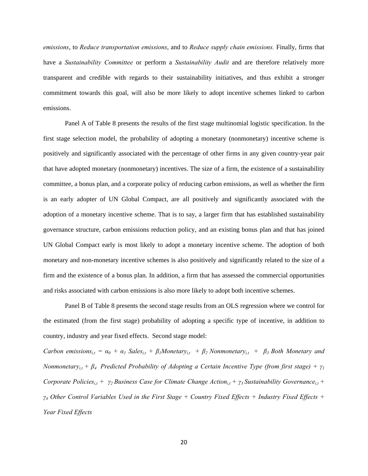*emissions*, to *Reduce transportation emissions*, and to *Reduce supply chain emissions.* Finally, firms that have a *Sustainability Committee* or perform a *Sustainability Audit* and are therefore relatively more transparent and credible with regards to their sustainability initiatives, and thus exhibit a stronger commitment towards this goal, will also be more likely to adopt incentive schemes linked to carbon emissions.

Panel A of Table 8 presents the results of the first stage multinomial logistic specification. In the first stage selection model, the probability of adopting a monetary (nonmonetary) incentive scheme is positively and significantly associated with the percentage of other firms in any given country-year pair that have adopted monetary (nonmonetary) incentives. The size of a firm, the existence of a sustainability committee, a bonus plan, and a corporate policy of reducing carbon emissions, as well as whether the firm is an early adopter of UN Global Compact, are all positively and significantly associated with the adoption of a monetary incentive scheme. That is to say, a larger firm that has established sustainability governance structure, carbon emissions reduction policy, and an existing bonus plan and that has joined UN Global Compact early is most likely to adopt a monetary incentive scheme. The adoption of both monetary and non-monetary incentive schemes is also positively and significantly related to the size of a firm and the existence of a bonus plan. In addition, a firm that has assessed the commercial opportunities and risks associated with carbon emissions is also more likely to adopt both incentive schemes.

Panel B of Table 8 presents the second stage results from an OLS regression where we control for the estimated (from the first stage) probability of adopting a specific type of incentive, in addition to country, industry and year fixed effects. Second stage model:

*Carbon emissions*<sub>i,t</sub> =  $\alpha_0$  +  $\alpha_1$  Sales<sub>i,t</sub> +  $\beta_1$ Monetary<sub>i,t</sub> +  $\beta_2$  Nonmonetary<sub>i,t</sub> +  $\beta_3$  Both Monetary and *Nonmonetary*<sub>*i* $t$ </sub> +  $\beta$ <sup>*4*</sup> Predicted Probability of Adopting a Certain Incentive Type (from first stage) +  $\gamma$ <sup>1</sup> *Corporate Policies<sub>i,t</sub> +*  $γ$ *<sub>2</sub> Business Case for Climate Change Action<sub>i,t</sub> +*  $γ$ *<sub>3</sub> Sustainability Governance<sub>i,t</sub> + γ4 Other Control Variables Used in the First Stage + Country Fixed Effects + Industry Fixed Effects + Year Fixed Effects*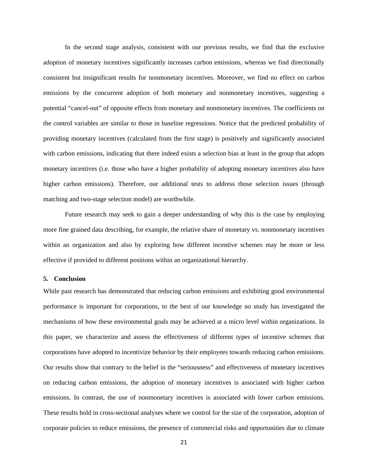In the second stage analysis, consistent with our previous results, we find that the exclusive adoption of monetary incentives significantly increases carbon emissions, whereas we find directionally consistent but insignificant results for nonmonetary incentives. Moreover, we find no effect on carbon emissions by the concurrent adoption of both monetary and nonmonetary incentives, suggesting a potential "cancel-out" of opposite effects from monetary and nonmonetary incentives. The coefficients on the control variables are similar to those in baseline regressions. Notice that the predicted probability of providing monetary incentives (calculated from the first stage) is positively and significantly associated with carbon emissions, indicating that there indeed exists a selection bias at least in the group that adopts monetary incentives (i.e. those who have a higher probability of adopting monetary incentives also have higher carbon emissions). Therefore, our additional tests to address those selection issues (through matching and two-stage selection model) are worthwhile.

Future research may seek to gain a deeper understanding of why this is the case by employing more fine grained data describing, for example, the relative share of monetary vs. nonmonetary incentives within an organization and also by exploring how different incentive schemes may be more or less effective if provided to different positions within an organizational hierarchy.

#### **5. Conclusion**

While past research has demonstrated that reducing carbon emissions and exhibiting good environmental performance is important for corporations, to the best of our knowledge no study has investigated the mechanisms of how these environmental goals may be achieved at a micro level within organizations. In this paper, we characterize and assess the effectiveness of different types of incentive schemes that corporations have adopted to incentivize behavior by their employees towards reducing carbon emissions. Our results show that contrary to the belief in the "seriousness" and effectiveness of monetary incentives on reducing carbon emissions, the adoption of monetary incentives is associated with higher carbon emissions. In contrast, the use of nonmonetary incentives is associated with lower carbon emissions. These results hold in cross-sectional analyses where we control for the size of the corporation, adoption of corporate policies to reduce emissions, the presence of commercial risks and opportunities due to climate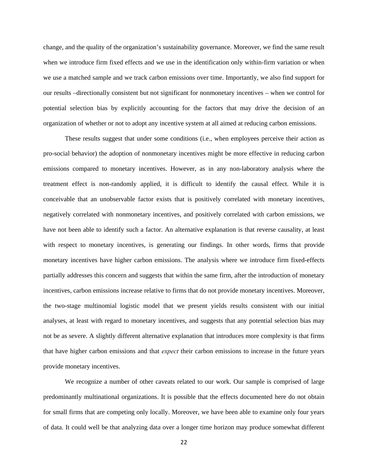change, and the quality of the organization's sustainability governance. Moreover, we find the same result when we introduce firm fixed effects and we use in the identification only within-firm variation or when we use a matched sample and we track carbon emissions over time. Importantly, we also find support for our results –directionally consistent but not significant for nonmonetary incentives – when we control for potential selection bias by explicitly accounting for the factors that may drive the decision of an organization of whether or not to adopt any incentive system at all aimed at reducing carbon emissions.

These results suggest that under some conditions (i.e., when employees perceive their action as pro-social behavior) the adoption of nonmonetary incentives might be more effective in reducing carbon emissions compared to monetary incentives. However, as in any non-laboratory analysis where the treatment effect is non-randomly applied, it is difficult to identify the causal effect. While it is conceivable that an unobservable factor exists that is positively correlated with monetary incentives, negatively correlated with nonmonetary incentives, and positively correlated with carbon emissions, we have not been able to identify such a factor. An alternative explanation is that reverse causality, at least with respect to monetary incentives, is generating our findings. In other words, firms that provide monetary incentives have higher carbon emissions. The analysis where we introduce firm fixed-effects partially addresses this concern and suggests that within the same firm, after the introduction of monetary incentives, carbon emissions increase relative to firms that do not provide monetary incentives. Moreover, the two-stage multinomial logistic model that we present yields results consistent with our initial analyses, at least with regard to monetary incentives, and suggests that any potential selection bias may not be as severe. A slightly different alternative explanation that introduces more complexity is that firms that have higher carbon emissions and that *expect* their carbon emissions to increase in the future years provide monetary incentives.

We recognize a number of other caveats related to our work. Our sample is comprised of large predominantly multinational organizations. It is possible that the effects documented here do not obtain for small firms that are competing only locally. Moreover, we have been able to examine only four years of data. It could well be that analyzing data over a longer time horizon may produce somewhat different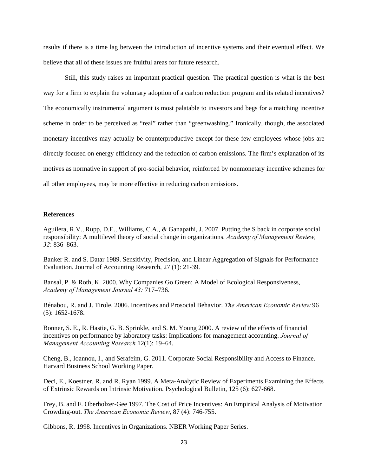results if there is a time lag between the introduction of incentive systems and their eventual effect. We believe that all of these issues are fruitful areas for future research.

Still, this study raises an important practical question. The practical question is what is the best way for a firm to explain the voluntary adoption of a carbon reduction program and its related incentives? The economically instrumental argument is most palatable to investors and begs for a matching incentive scheme in order to be perceived as "real" rather than "greenwashing." Ironically, though, the associated monetary incentives may actually be counterproductive except for these few employees whose jobs are directly focused on energy efficiency and the reduction of carbon emissions. The firm's explanation of its motives as normative in support of pro-social behavior, reinforced by nonmonetary incentive schemes for all other employees, may be more effective in reducing carbon emissions.

#### **References**

Aguilera, R.V., Rupp, D.E., Williams, C.A., & Ganapathi, J. 2007. Putting the S back in corporate social responsibility: A multilevel theory of social change in organizations. *Academy of Management Review, 32*: 836–863.

Banker R. and S. Datar 1989. Sensitivity, Precision, and Linear Aggregation of Signals for Performance Evaluation. Journal of Accounting Research, 27 (1): 21-39.

Bansal, P. & Roth, K. 2000. Why Companies Go Green: A Model of Ecological Responsiveness, *Academy of Management Journal 43:* 717–736.

Bénabou, R. and J. Tirole. 2006. Incentives and Prosocial Behavior. *The American Economic Review* 96 (5): 1652-1678.

Bonner, S. E., R. Hastie, G. B. Sprinkle, and S. M. Young 2000. A review of the effects of financial incentives on performance by laboratory tasks: Implications for management accounting. *Journal of Management Accounting Research* 12(1): 19–64.

Cheng, B., Ioannou, I., and Serafeim, G. 2011. Corporate Social Responsibility and Access to Finance. Harvard Business School Working Paper.

Deci, E., Koestner, R. and R. Ryan 1999. A Meta-Analytic Review of Experiments Examining the Effects of Extrinsic Rewards on Intrinsic Motivation. Psychological Bulletin, 125 (6): 627-668.

Frey, B. and F. Oberholzer-Gee 1997. The Cost of Price Incentives: An Empirical Analysis of Motivation Crowding-out. *The American Economic Review*, 87 (4): 746-755.

Gibbons, R. 1998. Incentives in Organizations. NBER Working Paper Series.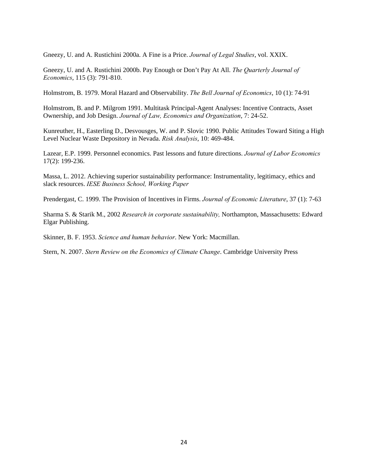Gneezy, U. and A. Rustichini 2000a. A Fine is a Price. *Journal of Legal Studies*, vol. XXIX.

Gneezy, U. and A. Rustichini 2000b. Pay Enough or Don't Pay At All. *The Quarterly Journal of Economics*, 115 (3): 791-810.

Holmstrom, B. 1979. Moral Hazard and Observability. *The Bell Journal of Economics*, 10 (1): 74-91

Holmstrom, B. and P. Milgrom 1991. Multitask Principal-Agent Analyses: Incentive Contracts, Asset Ownership, and Job Design. *Journal of Law, Economics and Organization*, 7: 24-52.

Kunreuther, H., Easterling D., Desvousges, W. and P. Slovic 1990. Public Attitudes Toward Siting a High Level Nuclear Waste Depository in Nevada. *Risk Analysis*, 10: 469-484.

Lazear, E.P. 1999. Personnel economics. Past lessons and future directions. *Journal of Labor Economics* 17(2): 199-236.

Massa, L. 2012. Achieving superior sustainability performance: Instrumentality, legitimacy, ethics and slack resources. *IESE Business School, Working Paper* 

Prendergast, C. 1999. The Provision of Incentives in Firms. *Journal of Economic Literature*, 37 (1): 7-63

Sharma S. & Starik M., 2002 *Research in corporate sustainability,* Northampton, Massachusetts: Edward Elgar Publishing.

Skinner, B. F. 1953. *Science and human behavior*. New York: Macmillan.

Stern, N. 2007. *Stern Review on the Economics of Climate Change*. Cambridge University Press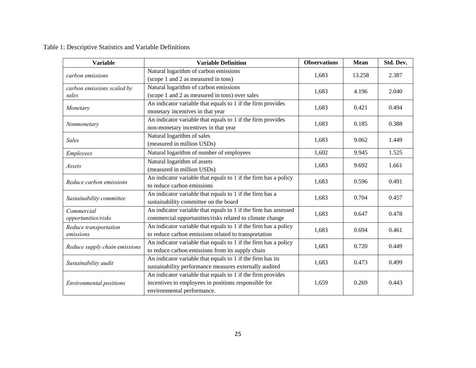Table 1: Descriptive Statistics and Variable Definitions

| <b>Variable</b>                                                                                                                              | <b>Variable Definition</b>                                                                                                                        | <b>Observations</b> | <b>Mean</b> | Std. Dev. |
|----------------------------------------------------------------------------------------------------------------------------------------------|---------------------------------------------------------------------------------------------------------------------------------------------------|---------------------|-------------|-----------|
| carbon emissions                                                                                                                             | Natural logarithm of carbon emissions<br>(scope 1 and 2 as measured in tons)                                                                      | 1,683               | 13.258      | 2.387     |
| carbon emissions scaled by<br>sales                                                                                                          | Natural logarithm of carbon emissions<br>(scope 1 and 2 as measured in tons) over sales                                                           | 1,683               | 4.196       | 2.040     |
| Monetary                                                                                                                                     | An indicator variable that equals to 1 if the firm provides<br>monetary incentives in that year                                                   | 1,683               | 0.421       | 0.494     |
| Nonmonetary                                                                                                                                  | An indicator variable that equals to 1 if the firm provides<br>non-monetary incentives in that year                                               | 1,683               | 0.185       | 0.388     |
| <b>Sales</b>                                                                                                                                 | Natural logarithm of sales<br>(measured in million USDs)                                                                                          |                     | 9.062       | 1.449     |
| Employees                                                                                                                                    | Natural logarithm of number of employees                                                                                                          |                     | 9.945       | 1.525     |
| Assets                                                                                                                                       | Natural logarithm of assets<br>(measured in million USDs)                                                                                         |                     | 9.692       | 1.661     |
| Reduce carbon emissions                                                                                                                      | An indicator variable that equals to 1 if the firm has a policy<br>to reduce carbon emissions                                                     | 1,683               | 0.596       | 0.491     |
| Sustainability committee                                                                                                                     | An indicator variable that equals to 1 if the firm has a<br>sustainability committee on the board                                                 | 1,683               | 0.704       | 0.457     |
| Commercial<br>opportunities/risks                                                                                                            | An indicator variable that equals to 1 if the firm has assessed<br>commercial opportunities/risks related to climate change                       | 1,683               | 0.647       | 0.478     |
| Reduce transportation<br>emissions                                                                                                           | An indicator variable that equals to 1 if the firm has a policy<br>to reduce carbon emissions related to transportation                           | 1,683               | 0.694       | 0.461     |
| Reduce supply chain emissions                                                                                                                | An indicator variable that equals to 1 if the firm has a policy<br>to reduce carbon emissions from its supply chain                               |                     | 0.720       | 0.449     |
| An indicator variable that equals to 1 if the firm has its<br>Sustainability audit<br>sustainability performance measures externally audited |                                                                                                                                                   | 1,683               | 0.473       | 0.499     |
| <b>Environmental positions</b>                                                                                                               | An indicator variable that equals to 1 if the firm provides<br>incentives to employees in positions responsible for<br>environmental performance. | 1,659               | 0.269       | 0.443     |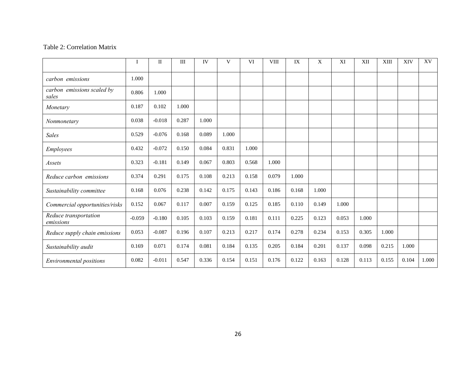#### Table 2: Correlation Matrix

|                                     | Ι        | $\rm{II}$ | III   | IV    | V     | <b>VI</b> | <b>VIII</b> | IX    | X     | XI    | XII   | XIII  | XIV   | XV    |
|-------------------------------------|----------|-----------|-------|-------|-------|-----------|-------------|-------|-------|-------|-------|-------|-------|-------|
| carbon emissions                    | 1.000    |           |       |       |       |           |             |       |       |       |       |       |       |       |
| carbon emissions scaled by<br>sales | 0.806    | 1.000     |       |       |       |           |             |       |       |       |       |       |       |       |
| Monetary                            | 0.187    | 0.102     | 1.000 |       |       |           |             |       |       |       |       |       |       |       |
| Nonmonetary                         | 0.038    | $-0.018$  | 0.287 | 1.000 |       |           |             |       |       |       |       |       |       |       |
| <b>Sales</b>                        | 0.529    | $-0.076$  | 0.168 | 0.089 | 1.000 |           |             |       |       |       |       |       |       |       |
| Employees                           | 0.432    | $-0.072$  | 0.150 | 0.084 | 0.831 | 1.000     |             |       |       |       |       |       |       |       |
| Assets                              | 0.323    | $-0.181$  | 0.149 | 0.067 | 0.803 | 0.568     | 1.000       |       |       |       |       |       |       |       |
| Reduce carbon emissions             | 0.374    | 0.291     | 0.175 | 0.108 | 0.213 | 0.158     | 0.079       | 1.000 |       |       |       |       |       |       |
| Sustainability committee            | 0.168    | 0.076     | 0.238 | 0.142 | 0.175 | 0.143     | 0.186       | 0.168 | 1.000 |       |       |       |       |       |
| Commercial opportunities/risks      | 0.152    | 0.067     | 0.117 | 0.007 | 0.159 | 0.125     | 0.185       | 0.110 | 0.149 | 1.000 |       |       |       |       |
| Reduce transportation<br>emissions  | $-0.059$ | $-0.180$  | 0.105 | 0.103 | 0.159 | 0.181     | 0.111       | 0.225 | 0.123 | 0.053 | 1.000 |       |       |       |
| Reduce supply chain emissions       | 0.053    | $-0.087$  | 0.196 | 0.107 | 0.213 | 0.217     | 0.174       | 0.278 | 0.234 | 0.153 | 0.305 | 1.000 |       |       |
| Sustainability audit                | 0.169    | 0.071     | 0.174 | 0.081 | 0.184 | 0.135     | 0.205       | 0.184 | 0.201 | 0.137 | 0.098 | 0.215 | 1.000 |       |
| Environmental positions             | 0.082    | $-0.011$  | 0.547 | 0.336 | 0.154 | 0.151     | 0.176       | 0.122 | 0.163 | 0.128 | 0.113 | 0.155 | 0.104 | 1.000 |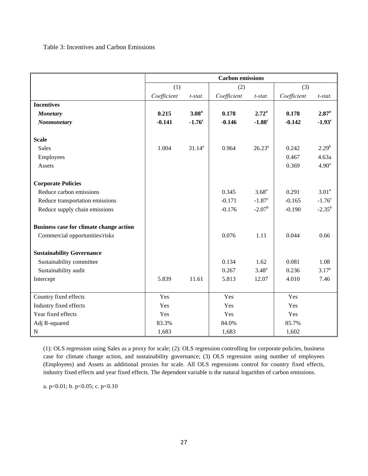#### Table 3: Incentives and Carbon Emissions

|                                                | <b>Carbon</b> emissions |                   |             |                      |             |                   |
|------------------------------------------------|-------------------------|-------------------|-------------|----------------------|-------------|-------------------|
|                                                | (1)                     |                   | (2)         |                      | (3)         |                   |
|                                                | Coefficient             | $t$ -stat.        | Coefficient | $t$ -stat.           | Coefficient | t-stat.           |
| <b>Incentives</b>                              |                         |                   |             |                      |             |                   |
| <b>Monetary</b>                                | 0.215                   | 3.08 <sup>a</sup> | 0.178       | $2.72^{\rm a}$       | 0.178       | 2.87 <sup>a</sup> |
| <b>Nonmonetary</b>                             | $-0.141$                | $-1.76^c$         | $-0.146$    | $-1.88^c$            | $-0.142$    | $-1.93^{\circ}$   |
|                                                |                         |                   |             |                      |             |                   |
| <b>Scale</b>                                   |                         |                   |             |                      |             |                   |
| <b>Sales</b>                                   | 1.004                   | $31.14^{a}$       | 0.964       | $26.23^a$            | 0.242       | $2.29^{b}$        |
| Employees                                      |                         |                   |             |                      | 0.467       | 4.63a             |
| Assets                                         |                         |                   |             |                      | 0.369       | 4.90 <sup>a</sup> |
|                                                |                         |                   |             |                      |             |                   |
| <b>Corporate Policies</b>                      |                         |                   |             |                      |             |                   |
| Reduce carbon emissions                        |                         |                   | 0.345       | $3.68^{a}$           | 0.291       | 3.01 <sup>a</sup> |
| Reduce transportation emissions                |                         |                   | $-0.171$    | $-1.87$ <sup>c</sup> | $-0.165$    | $-1.76^{\circ}$   |
| Reduce supply chain emissions                  |                         |                   | $-0.176$    | $-2.07^{\rm b}$      | $-0.190$    | $-2.35^{b}$       |
|                                                |                         |                   |             |                      |             |                   |
| <b>Business case for climate change action</b> |                         |                   |             |                      |             |                   |
| Commercial opportunities/risks                 |                         |                   | 0.076       | 1.11                 | 0.044       | 0.66              |
|                                                |                         |                   |             |                      |             |                   |
| <b>Sustainability Governance</b>               |                         |                   |             |                      |             |                   |
| Sustainability committee                       |                         |                   | 0.134       | 1.62                 | 0.081       | 1.08              |
| Sustainability audit                           |                         |                   | 0.267       | $3.48^{a}$           | 0.236       | 3.17 <sup>a</sup> |
| Intercept                                      | 5.839                   | 11.61             | 5.813       | 12.07                | 4.010       | 7.46              |
|                                                |                         |                   |             |                      |             |                   |
| Country fixed effects                          | Yes                     |                   | Yes         |                      | Yes         |                   |
| Industry fixed effects                         | Yes                     |                   | Yes         |                      | Yes         |                   |
| Year fixed effects                             | Yes                     |                   | Yes         |                      | Yes         |                   |
| Adj R-squared                                  | 83.3%                   |                   | 84.0%       |                      | 85.7%       |                   |
| ${\bf N}$                                      | 1,683                   |                   | 1,683       |                      | 1,602       |                   |

(1): OLS regression using Sales as a proxy for scale; (2): OLS regression controlling for corporate policies, business case for climate change action, and sustainability governance; (3) OLS regression using number of employees (Employees) and Assets as additional proxies for scale. All OLS regressions control for country fixed effects, industry fixed effects and year fixed effects. The dependent variable is the natural logarithm of carbon emissions.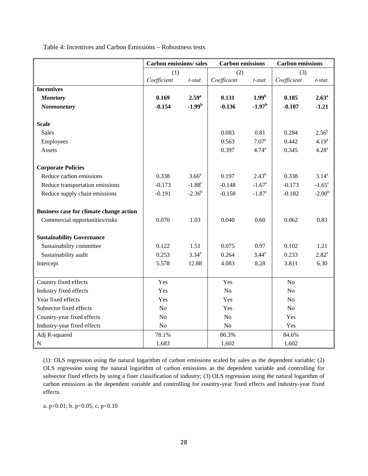Table 4: Incentives and Carbon Emissions – Robustness tests

|                                         | <b>Carbon emissions/sales</b> |                   | <b>Carbon</b> emissions |                      | <b>Carbon</b> emissions |                   |
|-----------------------------------------|-------------------------------|-------------------|-------------------------|----------------------|-------------------------|-------------------|
|                                         | (1)                           |                   | (2)                     |                      | (3)                     |                   |
|                                         | Coefficient                   | t-stat.           | Coefficient             | t-stat.              | Coefficient             | t-stat.           |
| <b>Incentives</b>                       |                               |                   |                         |                      |                         |                   |
| <b>Monetary</b>                         | 0.169                         | 2.59 <sup>a</sup> | 0.131                   | 1.99 <sup>b</sup>    | 0.185                   | 2.63 <sup>a</sup> |
| Nonmonetary                             | $-0.154$                      | $-1.99b$          | $-0.136$                | $-1.97b$             | $-0.107$                | $-1.21$           |
|                                         |                               |                   |                         |                      |                         |                   |
| <b>Scale</b>                            |                               |                   |                         |                      |                         |                   |
| <b>Sales</b>                            |                               |                   | 0.083                   | 0.81                 | 0.284                   | $2.56^{b}$        |
| Employees                               |                               |                   | 0.563                   | 7.07 <sup>a</sup>    | 0.442                   | 4.19 <sup>a</sup> |
| Assets                                  |                               |                   | 0.397                   | $4.74^{\rm a}$       | 0.345                   | $4.28^{a}$        |
|                                         |                               |                   |                         |                      |                         |                   |
| <b>Corporate Policies</b>               |                               |                   |                         |                      |                         |                   |
| Reduce carbon emissions                 | 0.338                         | 3.66 <sup>a</sup> | 0.197                   | $2.43^{b}$           | 0.338                   | $3.14^{a}$        |
| Reduce transportation emissions         | $-0.173$                      | $-1.88^{\circ}$   | $-0.148$                | $-1.67^{\circ}$      | $-0.173$                | $-1.65^{\circ}$   |
| Reduce supply chain emissions           | $-0.191$                      | $-2.36^{b}$       | $-0.158$                | $-1.87$ <sup>c</sup> | $-0.182$                | $-2.00b$          |
|                                         |                               |                   |                         |                      |                         |                   |
| Business case for climate change action |                               |                   |                         |                      |                         |                   |
| Commercial opportunities/risks          | 0.070                         | 1.03              | 0.040                   | 0.60                 | 0.062                   | 0.83              |
|                                         |                               |                   |                         |                      |                         |                   |
| <b>Sustainability Governance</b>        |                               |                   |                         |                      |                         |                   |
| Sustainability committee                | 0.122                         | 1.51              | 0.075                   | 0.97                 | 0.102                   | 1.21              |
| Sustainability audit                    | 0.253                         | $3.34^{a}$        | 0.264                   | $3.44^{\circ}$       | 0.233                   | $2.82^{a}$        |
| Intercept                               | 5.578                         | 12.88             | 4.083                   | 8.28                 | 3.811                   | 6.30              |
|                                         |                               |                   |                         |                      |                         |                   |
| Country fixed effects                   | Yes                           |                   | Yes                     |                      | N <sub>o</sub>          |                   |
| Industry fixed effects                  | Yes                           |                   | No                      |                      | N <sub>o</sub>          |                   |
| Year fixed effects                      | Yes                           |                   | Yes                     |                      | N <sub>o</sub>          |                   |
| Subsector fixed effects                 | N <sub>o</sub>                |                   | Yes                     |                      | N <sub>o</sub>          |                   |
| Country-year fixed effects              | No                            |                   | No                      |                      | Yes                     |                   |
| Industry-year fixed effects             | N <sub>o</sub>                |                   | No                      |                      | Yes                     |                   |
| Adj R-squared                           | 78.1%                         |                   | 86.3%                   |                      | 84.6%                   |                   |
| $\mathbf N$                             | 1,683                         |                   | 1,602                   |                      | 1,602                   |                   |

(1): OLS regression using the natural logarithm of carbon emissions scaled by sales as the dependent variable; (2) OLS regression using the natural logarithm of carbon emissions as the dependent variable and controlling for subsector fixed effects by using a finer classification of industry; (3) OLS regression using the natural logarithm of carbon emissions as the dependent variable and controlling for country-year fixed effects and industry-year fixed effects.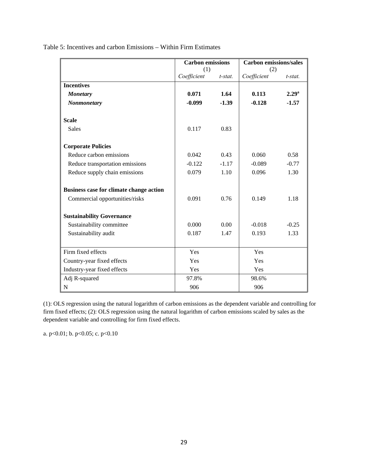|                                         | <b>Carbon emissions</b> |            | <b>Carbon emissions/sales</b> |            |
|-----------------------------------------|-------------------------|------------|-------------------------------|------------|
|                                         | (1)                     |            | (2)                           |            |
|                                         | Coefficient             | $t$ -stat. | Coefficient                   | $t$ -stat. |
| <b>Incentives</b>                       |                         |            |                               |            |
| <b>Monetary</b>                         | 0.071                   | 1.64       | 0.113                         | $2.29^{a}$ |
| <b>Nonmonetary</b>                      | $-0.099$                | $-1.39$    | $-0.128$                      | $-1.57$    |
| <b>Scale</b>                            |                         |            |                               |            |
| <b>Sales</b>                            | 0.117                   | 0.83       |                               |            |
| <b>Corporate Policies</b>               |                         |            |                               |            |
| Reduce carbon emissions                 | 0.042                   | 0.43       | 0.060                         | 0.58       |
| Reduce transportation emissions         | $-0.122$                | $-1.17$    | $-0.089$                      | $-0.77$    |
| Reduce supply chain emissions           | 0.079                   | 1.10       | 0.096                         | 1.30       |
| Business case for climate change action |                         |            |                               |            |
| Commercial opportunities/risks          | 0.091                   | 0.76       | 0.149                         | 1.18       |
| <b>Sustainability Governance</b>        |                         |            |                               |            |
| Sustainability committee                | 0.000                   | 0.00       | $-0.018$                      | $-0.25$    |
| Sustainability audit                    | 0.187                   | 1.47       | 0.193                         | 1.33       |
| Firm fixed effects                      | Yes                     |            | Yes                           |            |
| Country-year fixed effects              | Yes                     |            | Yes                           |            |
| Industry-year fixed effects             | Yes                     |            | Yes                           |            |
| Adj R-squared                           | 97.8%                   |            | 98.6%                         |            |
| N                                       | 906                     |            | 906                           |            |

(1): OLS regression using the natural logarithm of carbon emissions as the dependent variable and controlling for firm fixed effects; (2): OLS regression using the natural logarithm of carbon emissions scaled by sales as the dependent variable and controlling for firm fixed effects.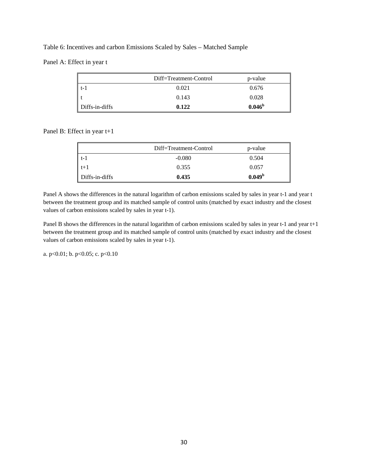#### Table 6: Incentives and carbon Emissions Scaled by Sales – Matched Sample

Panel A: Effect in year t

|                | Diff=Treatment-Control | p-value         |
|----------------|------------------------|-----------------|
| $t-1$          | 0.021                  | 0.676           |
|                | 0.143                  | 0.028           |
| Diffs-in-diffs | 0.122                  | $0.046^{\rm b}$ |

Panel B: Effect in year t+1

|                | Diff=Treatment-Control | p-value            |
|----------------|------------------------|--------------------|
| $t-1$          | $-0.080$               | 0.504              |
| $t+1$          | 0.355                  | 0.057              |
| Diffs-in-diffs | 0.435                  | 0.049 <sup>b</sup> |

Panel A shows the differences in the natural logarithm of carbon emissions scaled by sales in year t-1 and year t between the treatment group and its matched sample of control units (matched by exact industry and the closest values of carbon emissions scaled by sales in year t-1).

Panel B shows the differences in the natural logarithm of carbon emissions scaled by sales in year t-1 and year t+1 between the treatment group and its matched sample of control units (matched by exact industry and the closest values of carbon emissions scaled by sales in year t-1).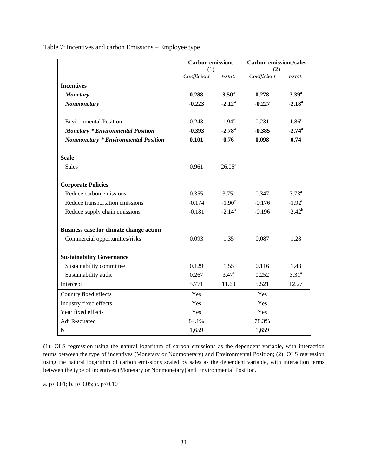|                                             | <b>Carbon</b> emissions |                    |             | <b>Carbon emissions/sales</b> |  |
|---------------------------------------------|-------------------------|--------------------|-------------|-------------------------------|--|
|                                             | (1)                     |                    | (2)         |                               |  |
|                                             | Coefficient             | t-stat.            | Coefficient | t-stat.                       |  |
| <b>Incentives</b>                           |                         |                    |             |                               |  |
| <b>Monetary</b>                             | 0.288                   | $3.50^{\rm a}$     | 0.278       | $3.39^{a}$                    |  |
| Nonmonetary                                 | $-0.223$                | $-2.12^a$          | $-0.227$    | $-2.18^{\circ}$               |  |
| <b>Environmental Position</b>               | 0.243                   | 1.94 <sup>c</sup>  | 0.231       | 1.86 <sup>c</sup>             |  |
| <b>Monetary * Environmental Position</b>    | $-0.393$                | $-2.78^{\rm a}$    | $-0.385$    | $-2.74^{\circ}$               |  |
| <b>Nonmonetary * Environmental Position</b> | 0.101                   | 0.76               | 0.098       | 0.74                          |  |
| <b>Scale</b>                                |                         |                    |             |                               |  |
| <b>Sales</b>                                | 0.961                   | $26.05^{\text{a}}$ |             |                               |  |
| <b>Corporate Policies</b>                   |                         |                    |             |                               |  |
| Reduce carbon emissions                     | 0.355                   | $3.75^{\rm a}$     | 0.347       | $3.73^{a}$                    |  |
| Reduce transportation emissions             | $-0.174$                | $-1.90^{\circ}$    | $-0.176$    | $-1.92^{\circ}$               |  |
| Reduce supply chain emissions               | $-0.181$                | $-2.14^{b}$        | $-0.196$    | $-2.42^{b}$                   |  |
| Business case for climate change action     |                         |                    |             |                               |  |
| Commercial opportunities/risks              | 0.093                   | 1.35               | 0.087       | 1.28                          |  |
| <b>Sustainability Governance</b>            |                         |                    |             |                               |  |
| Sustainability committee                    | 0.129                   | 1.55               | 0.116       | 1.43                          |  |
| Sustainability audit                        | 0.267                   | 3.47 <sup>a</sup>  | 0.252       | $3.31^{a}$                    |  |
| Intercept                                   | 5.771                   | 11.63              | 5.521       | 12.27                         |  |
| Country fixed effects                       | Yes                     |                    | Yes         |                               |  |
| Industry fixed effects                      | Yes                     |                    | Yes         |                               |  |
| Year fixed effects                          | Yes                     |                    | Yes         |                               |  |
| Adj R-squared                               | 84.1%                   |                    | 78.3%       |                               |  |
| ${\bf N}$                                   | 1,659                   |                    | 1,659       |                               |  |

Table 7: Incentives and carbon Emissions – Employee type

(1): OLS regression using the natural logarithm of carbon emissions as the dependent variable, with interaction terms between the type of incentives (Monetary or Nonmonetary) and Environmental Position; (2): OLS regression using the natural logarithm of carbon emissions scaled by sales as the dependent variable, with interaction terms between the type of incentives (Monetary or Nonmonetary) and Environmental Position.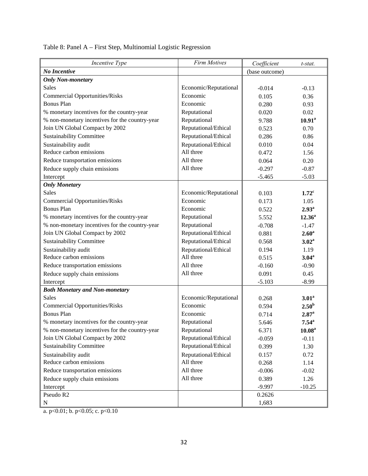| Incentive Type                                 | <b>Firm Motives</b>   | Coefficient    | t-stat.             |
|------------------------------------------------|-----------------------|----------------|---------------------|
| No Incentive                                   |                       | (base outcome) |                     |
| <b>Only Non-monetary</b>                       |                       |                |                     |
| <b>Sales</b>                                   | Economic/Reputational | $-0.014$       | $-0.13$             |
| <b>Commercial Opportunities/Risks</b>          | Economic              | 0.105          | 0.36                |
| <b>Bonus Plan</b>                              | Economic              | 0.280          | 0.93                |
| % monetary incentives for the country-year     | Reputational          | 0.020          | 0.02                |
| % non-monetary incentives for the country-year | Reputational          | 9.788          | $10.91^a$           |
| Join UN Global Compact by 2002                 | Reputational/Ethical  | 0.523          | 0.70                |
| <b>Sustainability Committee</b>                | Reputational/Ethical  | 0.286          | 0.86                |
| Sustainability audit                           | Reputational/Ethical  | 0.010          | 0.04                |
| Reduce carbon emissions                        | All three             | 0.472          | 1.56                |
| Reduce transportation emissions                | All three             | 0.064          | 0.20                |
| Reduce supply chain emissions                  | All three             | $-0.297$       | $-0.87$             |
| Intercept                                      |                       | $-5.465$       | $-5.03$             |
| <b>Only Monetary</b>                           |                       |                |                     |
| <b>Sales</b>                                   | Economic/Reputational | 0.103          | 1.72 <sup>c</sup>   |
| <b>Commercial Opportunities/Risks</b>          | Economic              | 0.173          | 1.05                |
| <b>Bonus Plan</b>                              | Economic              | 0.522          | 2.93 <sup>a</sup>   |
| % monetary incentives for the country-year     | Reputational          | 5.552          | $12.36^a$           |
| % non-monetary incentives for the country-year | Reputational          | $-0.708$       | $-1.47$             |
| Join UN Global Compact by 2002                 | Reputational/Ethical  | 0.881          | 2.60 <sup>a</sup>   |
| <b>Sustainability Committee</b>                | Reputational/Ethical  | 0.568          | 3.02 <sup>a</sup>   |
| Sustainability audit                           | Reputational/Ethical  | 0.194          | 1.19                |
| Reduce carbon emissions                        | All three             | 0.515          | $3.04^{\rm a}$      |
| Reduce transportation emissions                | All three             | $-0.160$       | $-0.90$             |
| Reduce supply chain emissions                  | All three             | 0.091          | 0.45                |
| Intercept                                      |                       | $-5.103$       | $-8.99$             |
| <b>Both Monetary and Non-monetary</b>          |                       |                |                     |
| <b>Sales</b>                                   | Economic/Reputational | 0.268          | 3.01 <sup>a</sup>   |
| <b>Commercial Opportunities/Risks</b>          | Economic              | 0.594          | 2.50 <sup>b</sup>   |
| <b>Bonus Plan</b>                              | Economic              | 0.714          | $2.87$ <sup>a</sup> |
| % monetary incentives for the country-year     | Reputational          | 5.646          | $7.54^{\circ}$      |
| % non-monetary incentives for the country-year | Reputational          | 6.371          | 10.08 <sup>a</sup>  |
| Join UN Global Compact by 2002                 | Reputational/Ethical  | $-0.059$       | $-0.11$             |
| <b>Sustainability Committee</b>                | Reputational/Ethical  | 0.399          | 1.30                |
| Sustainability audit                           | Reputational/Ethical  | 0.157          | 0.72                |
| Reduce carbon emissions                        | All three             | 0.268          | 1.14                |
| Reduce transportation emissions                | All three             | $-0.006$       | $-0.02$             |
| Reduce supply chain emissions                  | All three             | 0.389          | 1.26                |
| Intercept                                      |                       | $-9.997$       | $-10.25$            |
| Pseudo R <sub>2</sub>                          |                       | 0.2626         |                     |
| ${\bf N}$                                      |                       | 1,683          |                     |

Table 8: Panel A – First Step, Multinomial Logistic Regression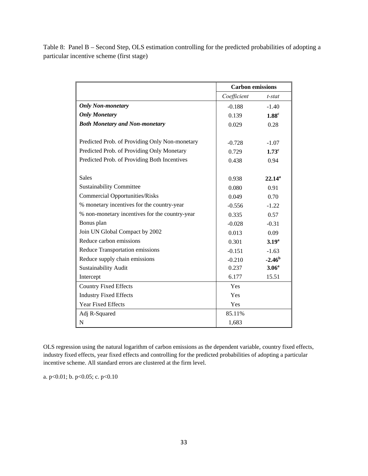Table 8: Panel B – Second Step, OLS estimation controlling for the predicted probabilities of adopting a particular incentive scheme (first stage)

|                                                | <b>Carbon emissions</b> |                   |
|------------------------------------------------|-------------------------|-------------------|
|                                                | Coefficient             | t-stat            |
| <b>Only Non-monetary</b>                       | $-0.188$                | $-1.40$           |
| <b>Only Monetary</b>                           | 0.139                   | 1.88 <sup>c</sup> |
| <b>Both Monetary and Non-monetary</b>          | 0.029                   | 0.28              |
|                                                |                         |                   |
| Predicted Prob. of Providing Only Non-monetary | $-0.728$                | $-1.07$           |
| Predicted Prob. of Providing Only Monetary     | 0.729                   | 1.73 <sup>c</sup> |
| Predicted Prob. of Providing Both Incentives   | 0.438                   | 0.94              |
|                                                |                         |                   |
| <b>Sales</b>                                   | 0.938                   | $22.14^a$         |
| <b>Sustainability Committee</b>                | 0.080                   | 0.91              |
| <b>Commercial Opportunities/Risks</b>          | 0.049                   | 0.70              |
| % monetary incentives for the country-year     | $-0.556$                | $-1.22$           |
| % non-monetary incentives for the country-year | 0.335                   | 0.57              |
| Bonus plan                                     | $-0.028$                | $-0.31$           |
| Join UN Global Compact by 2002                 | 0.013                   | 0.09              |
| Reduce carbon emissions                        | 0.301                   | 3.19 <sup>a</sup> |
| Reduce Transportation emissions                | $-0.151$                | $-1.63$           |
| Reduce supply chain emissions                  | $-0.210$                | $-2.46b$          |
| Sustainability Audit                           | 0.237                   | 3.06 <sup>a</sup> |
| Intercept                                      | 6.177                   | 15.51             |
| <b>Country Fixed Effects</b>                   | Yes                     |                   |
| <b>Industry Fixed Effects</b>                  | Yes                     |                   |
| <b>Year Fixed Effects</b>                      | Yes                     |                   |
| Adj R-Squared                                  | 85.11%                  |                   |
| N                                              | 1,683                   |                   |

OLS regression using the natural logarithm of carbon emissions as the dependent variable, country fixed effects, industry fixed effects, year fixed effects and controlling for the predicted probabilities of adopting a particular incentive scheme. All standard errors are clustered at the firm level.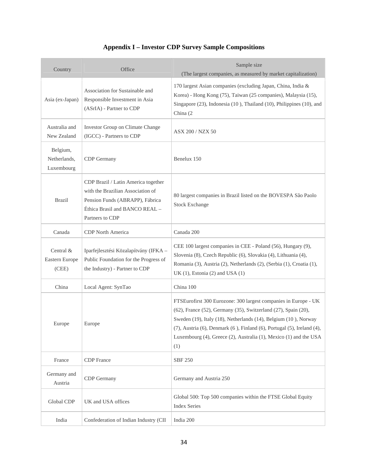| Country                                | Office                                                                                                                                                           | Sample size<br>(The largest companies, as measured by market capitalization)                                                                                                                                                                                                                                                                                                 |
|----------------------------------------|------------------------------------------------------------------------------------------------------------------------------------------------------------------|------------------------------------------------------------------------------------------------------------------------------------------------------------------------------------------------------------------------------------------------------------------------------------------------------------------------------------------------------------------------------|
| Asia (ex-Japan)                        | Association for Sustainable and<br>Responsible Investment in Asia<br>(ASrIA) - Partner to CDP                                                                    | 170 largest Asian companies (excluding Japan, China, India &<br>Korea) - Hong Kong (75), Taiwan (25 companies), Malaysia (15),<br>Singapore (23), Indonesia (10), Thailand (10), Philippines (10), and<br>China (2)                                                                                                                                                          |
| Australia and<br>New Zealand           | Investor Group on Climate Change<br>(IGCC) - Partners to CDP                                                                                                     | <b>ASX 200 / NZX 50</b>                                                                                                                                                                                                                                                                                                                                                      |
| Belgium,<br>Netherlands,<br>Luxembourg | CDP Germany                                                                                                                                                      | Benelux 150                                                                                                                                                                                                                                                                                                                                                                  |
| <b>Brazil</b>                          | CDP Brazil / Latin America together<br>with the Brazilian Association of<br>Pension Funds (ABRAPP), Fábrica<br>Éthica Brasil and BANCO REAL -<br>Partners to CDP | 80 largest companies in Brazil listed on the BOVESPA São Paolo<br><b>Stock Exchange</b>                                                                                                                                                                                                                                                                                      |
| Canada                                 | <b>CDP</b> North America                                                                                                                                         | Canada 200                                                                                                                                                                                                                                                                                                                                                                   |
| Central &<br>Eastern Europe<br>(CEE)   | Iparfejlesztési Közalapítvány (IFKA -<br>Public Foundation for the Progress of<br>the Industry) - Partner to CDP                                                 | CEE 100 largest companies in CEE - Poland (56), Hungary (9),<br>Slovenia (8), Czech Republic (6), Slovakia (4), Lithuania (4),<br>Romania (3), Austria (2), Netherlands (2), (Serbia (1), Croatia (1),<br>UK (1), Estonia (2) and USA (1)                                                                                                                                    |
| China                                  | Local Agent: SynTao                                                                                                                                              | China 100                                                                                                                                                                                                                                                                                                                                                                    |
| Europe                                 | Europe                                                                                                                                                           | FTSEurofirst 300 Eurozone: 300 largest companies in Europe - UK<br>(62), France (52), Germany (35), Switzerland (27), Spain (20),<br>Sweden (19), Italy (18), Netherlands (14), Belgium (10), Norway<br>$(7)$ , Austria $(6)$ , Denmark $(6)$ , Finland $(6)$ , Portugal $(5)$ , Ireland $(4)$ ,<br>Luxembourg (4), Greece (2), Australia (1), Mexico (1) and the USA<br>(1) |
| France                                 | <b>CDP</b> France                                                                                                                                                | <b>SBF 250</b>                                                                                                                                                                                                                                                                                                                                                               |
| Germany and<br>Austria                 | CDP Germany                                                                                                                                                      | Germany and Austria 250                                                                                                                                                                                                                                                                                                                                                      |
| Global CDP                             | UK and USA offices                                                                                                                                               | Global 500: Top 500 companies within the FTSE Global Equity<br><b>Index Series</b>                                                                                                                                                                                                                                                                                           |
| India                                  | Confederation of Indian Industry (CII                                                                                                                            | India 200                                                                                                                                                                                                                                                                                                                                                                    |

### **Appendix I – Investor CDP Survey Sample Compositions**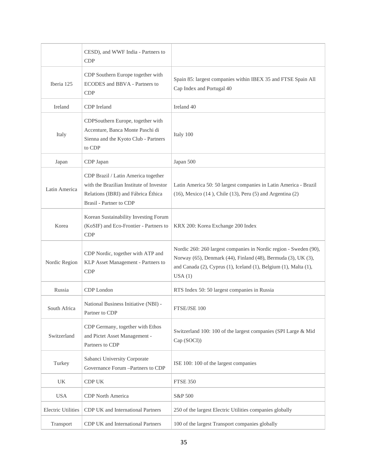|                           | CESD), and WWF India - Partners to<br><b>CDP</b>                                                                                                  |                                                                                                                                                                                                                  |
|---------------------------|---------------------------------------------------------------------------------------------------------------------------------------------------|------------------------------------------------------------------------------------------------------------------------------------------------------------------------------------------------------------------|
| Iberia 125                | CDP Southern Europe together with<br>ECODES and BBVA - Partners to<br><b>CDP</b>                                                                  | Spain 85: largest companies within IBEX 35 and FTSE Spain All<br>Cap Index and Portugal 40                                                                                                                       |
| Ireland                   | CDP Ireland                                                                                                                                       | Ireland 40                                                                                                                                                                                                       |
| Italy                     | CDPSouthern Europe, together with<br>Accenture, Banca Monte Paschi di<br>Sienna and the Kyoto Club - Partners<br>to CDP                           | Italy 100                                                                                                                                                                                                        |
| Japan                     | CDP Japan                                                                                                                                         | Japan 500                                                                                                                                                                                                        |
| Latin America             | CDP Brazil / Latin America together<br>with the Brazilian Institute of Investor<br>Relations (IBRI) and Fábrica Éthica<br>Brasil - Partner to CDP | Latin America 50: 50 largest companies in Latin America - Brazil<br>$(16)$ , Mexico $(14)$ , Chile $(13)$ , Peru $(5)$ and Argentina $(2)$                                                                       |
| Korea                     | Korean Sustainability Investing Forum<br>(KoSIF) and Eco-Frontier - Partners to<br><b>CDP</b>                                                     | KRX 200: Korea Exchange 200 Index                                                                                                                                                                                |
| Nordic Region             | CDP Nordic, together with ATP and<br>KLP Asset Management - Partners to<br>CDP                                                                    | Nordic 260: 260 largest companies in Nordic region - Sweden (90),<br>Norway (65), Denmark (44), Finland (48), Bermuda (3), UK (3),<br>and Canada (2), Cyprus (1), Iceland (1), Belgium (1), Malta (1),<br>USA(1) |
| Russia                    | CDP London                                                                                                                                        | RTS Index 50: 50 largest companies in Russia                                                                                                                                                                     |
| South Africa              | National Business Initiative (NBI) -<br>Partner to CDP                                                                                            | FTSE/JSE 100                                                                                                                                                                                                     |
| Switzerland               | CDP Germany, together with Ethos<br>and Pictet Asset Management -<br>Partners to CDP                                                              | Switzerland 100: 100 of the largest companies (SPI Large & Mid<br>Cap (SOCI))                                                                                                                                    |
| Turkey                    | Sabanci University Corporate<br>Governance Forum -Partners to CDP                                                                                 | ISE 100: 100 of the largest companies                                                                                                                                                                            |
| UK                        | CDP UK                                                                                                                                            | <b>FTSE 350</b>                                                                                                                                                                                                  |
| <b>USA</b>                | CDP North America                                                                                                                                 | S&P 500                                                                                                                                                                                                          |
| <b>Electric Utilities</b> | CDP UK and International Partners                                                                                                                 | 250 of the largest Electric Utilities companies globally                                                                                                                                                         |
| Transport                 | CDP UK and International Partners                                                                                                                 | 100 of the largest Transport companies globally                                                                                                                                                                  |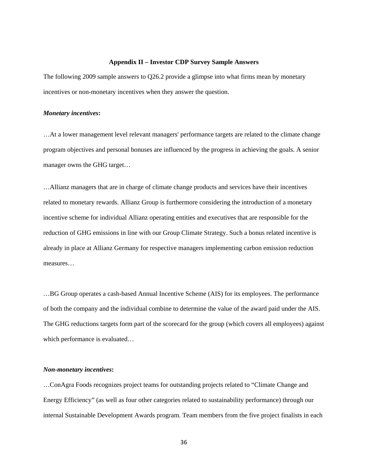#### **Appendix II – Investor CDP Survey Sample Answers**

The following 2009 sample answers to Q26.2 provide a glimpse into what firms mean by monetary incentives or non-monetary incentives when they answer the question.

#### *Monetary incentives***:**

…At a lower management level relevant managers' performance targets are related to the climate change program objectives and personal bonuses are influenced by the progress in achieving the goals. A senior manager owns the GHG target…

…Allianz managers that are in charge of climate change products and services have their incentives related to monetary rewards. Allianz Group is furthermore considering the introduction of a monetary incentive scheme for individual Allianz operating entities and executives that are responsible for the reduction of GHG emissions in line with our Group Climate Strategy. Such a bonus related incentive is already in place at Allianz Germany for respective managers implementing carbon emission reduction measures…

…BG Group operates a cash-based Annual Incentive Scheme (AIS) for its employees. The performance of both the company and the individual combine to determine the value of the award paid under the AIS. The GHG reductions targets form part of the scorecard for the group (which covers all employees) against which performance is evaluated…

#### *Non-monetary incentives***:**

…ConAgra Foods recognizes project teams for outstanding projects related to "Climate Change and Energy Efficiency" (as well as four other categories related to sustainability performance) through our internal Sustainable Development Awards program. Team members from the five project finalists in each